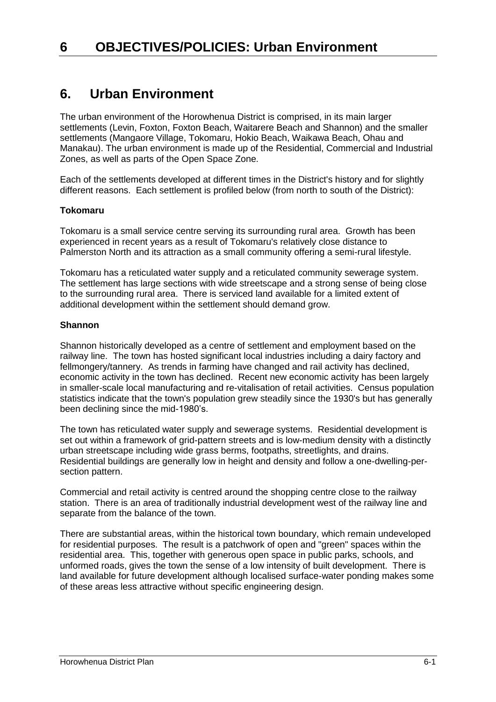### **6. Urban Environment**

The urban environment of the Horowhenua District is comprised, in its main larger settlements (Levin, Foxton, Foxton Beach, Waitarere Beach and Shannon) and the smaller settlements (Mangaore Village, Tokomaru, Hokio Beach, Waikawa Beach, Ohau and Manakau). The urban environment is made up of the Residential, Commercial and Industrial Zones, as well as parts of the Open Space Zone.

Each of the settlements developed at different times in the District's history and for slightly different reasons. Each settlement is profiled below (from north to south of the District):

#### **Tokomaru**

Tokomaru is a small service centre serving its surrounding rural area. Growth has been experienced in recent years as a result of Tokomaru's relatively close distance to Palmerston North and its attraction as a small community offering a semi-rural lifestyle.

Tokomaru has a reticulated water supply and a reticulated community sewerage system. The settlement has large sections with wide streetscape and a strong sense of being close to the surrounding rural area. There is serviced land available for a limited extent of additional development within the settlement should demand grow.

#### **Shannon**

Shannon historically developed as a centre of settlement and employment based on the railway line. The town has hosted significant local industries including a dairy factory and fellmongery/tannery. As trends in farming have changed and rail activity has declined, economic activity in the town has declined. Recent new economic activity has been largely in smaller-scale local manufacturing and re-vitalisation of retail activities. Census population statistics indicate that the town's population grew steadily since the 1930's but has generally been declining since the mid-1980's.

The town has reticulated water supply and sewerage systems. Residential development is set out within a framework of grid-pattern streets and is low-medium density with a distinctly urban streetscape including wide grass berms, footpaths, streetlights, and drains. Residential buildings are generally low in height and density and follow a one-dwelling-persection pattern.

Commercial and retail activity is centred around the shopping centre close to the railway station. There is an area of traditionally industrial development west of the railway line and separate from the balance of the town.

There are substantial areas, within the historical town boundary, which remain undeveloped for residential purposes. The result is a patchwork of open and "green" spaces within the residential area. This, together with generous open space in public parks, schools, and unformed roads, gives the town the sense of a low intensity of built development. There is land available for future development although localised surface-water ponding makes some of these areas less attractive without specific engineering design.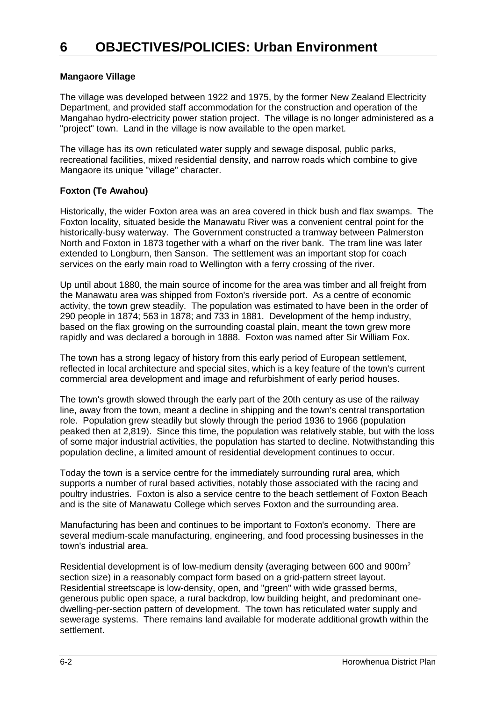#### **Mangaore Village**

The village was developed between 1922 and 1975, by the former New Zealand Electricity Department, and provided staff accommodation for the construction and operation of the Mangahao hydro-electricity power station project. The village is no longer administered as a "project" town. Land in the village is now available to the open market.

The village has its own reticulated water supply and sewage disposal, public parks, recreational facilities, mixed residential density, and narrow roads which combine to give Mangaore its unique "village" character.

#### **Foxton (Te Awahou)**

Historically, the wider Foxton area was an area covered in thick bush and flax swamps. The Foxton locality, situated beside the Manawatu River was a convenient central point for the historically-busy waterway. The Government constructed a tramway between Palmerston North and Foxton in 1873 together with a wharf on the river bank. The tram line was later extended to Longburn, then Sanson. The settlement was an important stop for coach services on the early main road to Wellington with a ferry crossing of the river.

Up until about 1880, the main source of income for the area was timber and all freight from the Manawatu area was shipped from Foxton's riverside port. As a centre of economic activity, the town grew steadily. The population was estimated to have been in the order of 290 people in 1874; 563 in 1878; and 733 in 1881. Development of the hemp industry, based on the flax growing on the surrounding coastal plain, meant the town grew more rapidly and was declared a borough in 1888. Foxton was named after Sir William Fox.

The town has a strong legacy of history from this early period of European settlement, reflected in local architecture and special sites, which is a key feature of the town's current commercial area development and image and refurbishment of early period houses.

The town's growth slowed through the early part of the 20th century as use of the railway line, away from the town, meant a decline in shipping and the town's central transportation role. Population grew steadily but slowly through the period 1936 to 1966 (population peaked then at 2,819). Since this time, the population was relatively stable, but with the loss of some major industrial activities, the population has started to decline. Notwithstanding this population decline, a limited amount of residential development continues to occur.

Today the town is a service centre for the immediately surrounding rural area, which supports a number of rural based activities, notably those associated with the racing and poultry industries. Foxton is also a service centre to the beach settlement of Foxton Beach and is the site of Manawatu College which serves Foxton and the surrounding area.

Manufacturing has been and continues to be important to Foxton's economy. There are several medium-scale manufacturing, engineering, and food processing businesses in the town's industrial area.

Residential development is of low-medium density (averaging between 600 and 900m<sup>2</sup> section size) in a reasonably compact form based on a grid-pattern street layout. Residential streetscape is low-density, open, and "green" with wide grassed berms, generous public open space, a rural backdrop, low building height, and predominant onedwelling-per-section pattern of development. The town has reticulated water supply and sewerage systems. There remains land available for moderate additional growth within the settlement.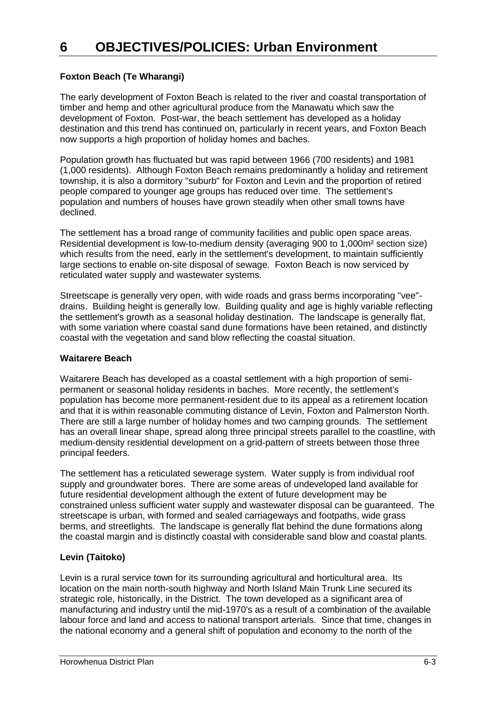#### **Foxton Beach (Te Wharangi)**

The early development of Foxton Beach is related to the river and coastal transportation of timber and hemp and other agricultural produce from the Manawatu which saw the development of Foxton. Post-war, the beach settlement has developed as a holiday destination and this trend has continued on, particularly in recent years, and Foxton Beach now supports a high proportion of holiday homes and baches.

Population growth has fluctuated but was rapid between 1966 (700 residents) and 1981 (1,000 residents). Although Foxton Beach remains predominantly a holiday and retirement township, it is also a dormitory "suburb" for Foxton and Levin and the proportion of retired people compared to younger age groups has reduced over time. The settlement's population and numbers of houses have grown steadily when other small towns have declined.

The settlement has a broad range of community facilities and public open space areas. Residential development is low-to-medium density (averaging 900 to 1,000m² section size) which results from the need, early in the settlement's development, to maintain sufficiently large sections to enable on-site disposal of sewage. Foxton Beach is now serviced by reticulated water supply and wastewater systems.

Streetscape is generally very open, with wide roads and grass berms incorporating "vee" drains. Building height is generally low. Building quality and age is highly variable reflecting the settlement's growth as a seasonal holiday destination. The landscape is generally flat, with some variation where coastal sand dune formations have been retained, and distinctly coastal with the vegetation and sand blow reflecting the coastal situation.

#### **Waitarere Beach**

Waitarere Beach has developed as a coastal settlement with a high proportion of semipermanent or seasonal holiday residents in baches. More recently, the settlement's population has become more permanent-resident due to its appeal as a retirement location and that it is within reasonable commuting distance of Levin, Foxton and Palmerston North. There are still a large number of holiday homes and two camping grounds. The settlement has an overall linear shape, spread along three principal streets parallel to the coastline, with medium-density residential development on a grid-pattern of streets between those three principal feeders.

The settlement has a reticulated sewerage system. Water supply is from individual roof supply and groundwater bores. There are some areas of undeveloped land available for future residential development although the extent of future development may be constrained unless sufficient water supply and wastewater disposal can be guaranteed. The streetscape is urban, with formed and sealed carriageways and footpaths, wide grass berms, and streetlights. The landscape is generally flat behind the dune formations along the coastal margin and is distinctly coastal with considerable sand blow and coastal plants.

#### **Levin (Taitoko)**

Levin is a rural service town for its surrounding agricultural and horticultural area. Its location on the main north-south highway and North Island Main Trunk Line secured its strategic role, historically, in the District. The town developed as a significant area of manufacturing and industry until the mid-1970's as a result of a combination of the available labour force and land and access to national transport arterials. Since that time, changes in the national economy and a general shift of population and economy to the north of the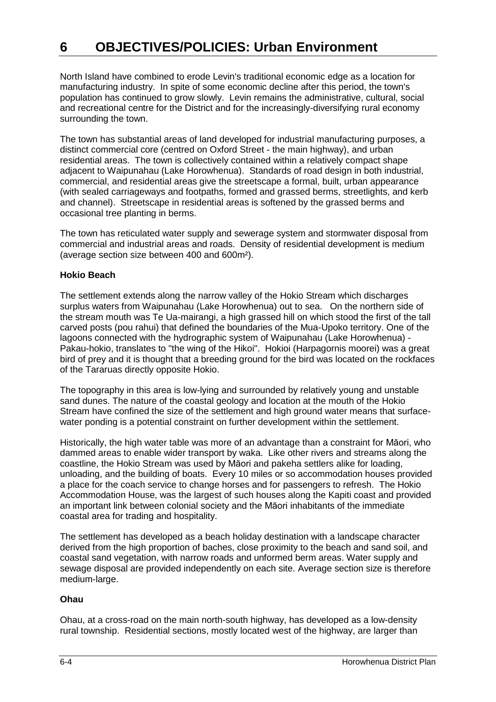North Island have combined to erode Levin's traditional economic edge as a location for manufacturing industry. In spite of some economic decline after this period, the town's population has continued to grow slowly. Levin remains the administrative, cultural, social and recreational centre for the District and for the increasingly-diversifying rural economy surrounding the town.

The town has substantial areas of land developed for industrial manufacturing purposes, a distinct commercial core (centred on Oxford Street - the main highway), and urban residential areas. The town is collectively contained within a relatively compact shape adjacent to Waipunahau (Lake Horowhenua). Standards of road design in both industrial, commercial, and residential areas give the streetscape a formal, built, urban appearance (with sealed carriageways and footpaths, formed and grassed berms, streetlights, and kerb and channel). Streetscape in residential areas is softened by the grassed berms and occasional tree planting in berms.

The town has reticulated water supply and sewerage system and stormwater disposal from commercial and industrial areas and roads. Density of residential development is medium (average section size between 400 and 600m²).

#### **Hokio Beach**

The settlement extends along the narrow valley of the Hokio Stream which discharges surplus waters from Waipunahau (Lake Horowhenua) out to sea. On the northern side of the stream mouth was Te Ua-mairangi, a high grassed hill on which stood the first of the tall carved posts (pou rahui) that defined the boundaries of the Mua-Upoko territory. One of the lagoons connected with the hydrographic system of Waipunahau (Lake Horowhenua) - Pakau-hokio, translates to "the wing of the Hikoi". Hokioi (Harpagornis moorei) was a great bird of prey and it is thought that a breeding ground for the bird was located on the rockfaces of the Tararuas directly opposite Hokio.

The topography in this area is low-lying and surrounded by relatively young and unstable sand dunes. The nature of the coastal geology and location at the mouth of the Hokio Stream have confined the size of the settlement and high ground water means that surfacewater ponding is a potential constraint on further development within the settlement.

Historically, the high water table was more of an advantage than a constraint for Māori, who dammed areas to enable wider transport by waka. Like other rivers and streams along the coastline, the Hokio Stream was used by Māori and pakeha settlers alike for loading, unloading, and the building of boats. Every 10 miles or so accommodation houses provided a place for the coach service to change horses and for passengers to refresh. The Hokio Accommodation House, was the largest of such houses along the Kapiti coast and provided an important link between colonial society and the Māori inhabitants of the immediate coastal area for trading and hospitality.

The settlement has developed as a beach holiday destination with a landscape character derived from the high proportion of baches, close proximity to the beach and sand soil, and coastal sand vegetation, with narrow roads and unformed berm areas. Water supply and sewage disposal are provided independently on each site. Average section size is therefore medium-large.

#### **Ohau**

Ohau, at a cross-road on the main north-south highway, has developed as a low-density rural township. Residential sections, mostly located west of the highway, are larger than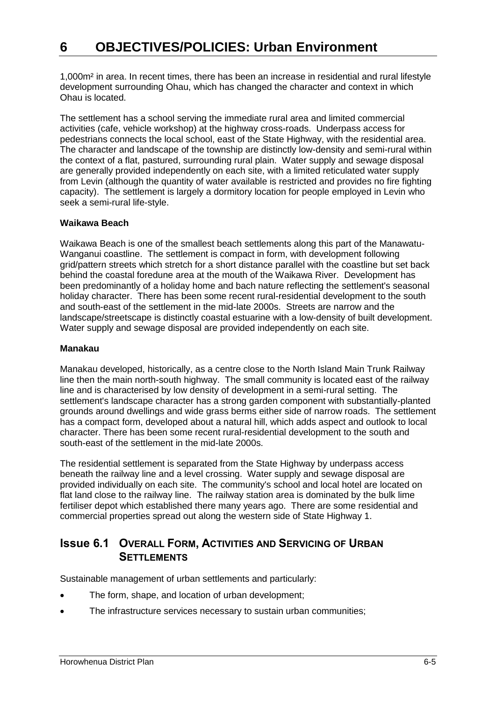1,000m² in area. In recent times, there has been an increase in residential and rural lifestyle development surrounding Ohau, which has changed the character and context in which Ohau is located.

The settlement has a school serving the immediate rural area and limited commercial activities (cafe, vehicle workshop) at the highway cross-roads. Underpass access for pedestrians connects the local school, east of the State Highway, with the residential area. The character and landscape of the township are distinctly low-density and semi-rural within the context of a flat, pastured, surrounding rural plain. Water supply and sewage disposal are generally provided independently on each site, with a limited reticulated water supply from Levin (although the quantity of water available is restricted and provides no fire fighting capacity). The settlement is largely a dormitory location for people employed in Levin who seek a semi-rural life-style.

#### **Waikawa Beach**

Waikawa Beach is one of the smallest beach settlements along this part of the Manawatu-Wanganui coastline. The settlement is compact in form, with development following grid/pattern streets which stretch for a short distance parallel with the coastline but set back behind the coastal foredune area at the mouth of the Waikawa River. Development has been predominantly of a holiday home and bach nature reflecting the settlement's seasonal holiday character. There has been some recent rural-residential development to the south and south-east of the settlement in the mid-late 2000s. Streets are narrow and the landscape/streetscape is distinctly coastal estuarine with a low-density of built development. Water supply and sewage disposal are provided independently on each site.

#### **Manakau**

Manakau developed, historically, as a centre close to the North Island Main Trunk Railway line then the main north-south highway. The small community is located east of the railway line and is characterised by low density of development in a semi-rural setting. The settlement's landscape character has a strong garden component with substantially-planted grounds around dwellings and wide grass berms either side of narrow roads. The settlement has a compact form, developed about a natural hill, which adds aspect and outlook to local character. There has been some recent rural-residential development to the south and south-east of the settlement in the mid-late 2000s.

The residential settlement is separated from the State Highway by underpass access beneath the railway line and a level crossing. Water supply and sewage disposal are provided individually on each site. The community's school and local hotel are located on flat land close to the railway line. The railway station area is dominated by the bulk lime fertiliser depot which established there many years ago. There are some residential and commercial properties spread out along the western side of State Highway 1.

### **Issue 6.1 OVERALL FORM, ACTIVITIES AND SERVICING OF URBAN SETTLEMENTS**

Sustainable management of urban settlements and particularly:

- The form, shape, and location of urban development;
- The infrastructure services necessary to sustain urban communities;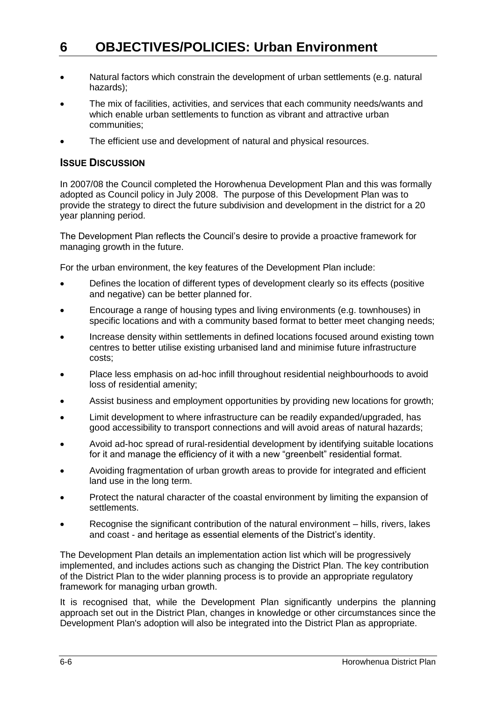- Natural factors which constrain the development of urban settlements (e.g. natural hazards);
- The mix of facilities, activities, and services that each community needs/wants and which enable urban settlements to function as vibrant and attractive urban communities;
- The efficient use and development of natural and physical resources.

#### **ISSUE DISCUSSION**

In 2007/08 the Council completed the Horowhenua Development Plan and this was formally adopted as Council policy in July 2008. The purpose of this Development Plan was to provide the strategy to direct the future subdivision and development in the district for a 20 year planning period.

The Development Plan reflects the Council's desire to provide a proactive framework for managing growth in the future.

For the urban environment, the key features of the Development Plan include:

- Defines the location of different types of development clearly so its effects (positive and negative) can be better planned for.
- Encourage a range of housing types and living environments (e.g. townhouses) in specific locations and with a community based format to better meet changing needs;
- Increase density within settlements in defined locations focused around existing town centres to better utilise existing urbanised land and minimise future infrastructure costs;
- Place less emphasis on ad-hoc infill throughout residential neighbourhoods to avoid loss of residential amenity;
- Assist business and employment opportunities by providing new locations for growth;
- Limit development to where infrastructure can be readily expanded/upgraded, has good accessibility to transport connections and will avoid areas of natural hazards;
- Avoid ad-hoc spread of rural-residential development by identifying suitable locations for it and manage the efficiency of it with a new "greenbelt" residential format.
- Avoiding fragmentation of urban growth areas to provide for integrated and efficient land use in the long term.
- Protect the natural character of the coastal environment by limiting the expansion of settlements.
- Recognise the significant contribution of the natural environment hills, rivers, lakes and coast - and heritage as essential elements of the District's identity.

The Development Plan details an implementation action list which will be progressively implemented, and includes actions such as changing the District Plan. The key contribution of the District Plan to the wider planning process is to provide an appropriate regulatory framework for managing urban growth.

It is recognised that, while the Development Plan significantly underpins the planning approach set out in the District Plan, changes in knowledge or other circumstances since the Development Plan's adoption will also be integrated into the District Plan as appropriate.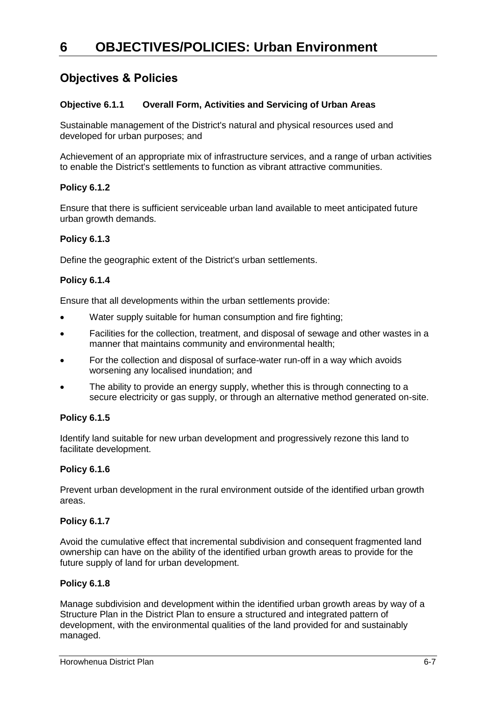### **Objectives & Policies**

#### **Objective 6.1.1 Overall Form, Activities and Servicing of Urban Areas**

Sustainable management of the District's natural and physical resources used and developed for urban purposes; and

Achievement of an appropriate mix of infrastructure services, and a range of urban activities to enable the District's settlements to function as vibrant attractive communities.

#### **Policy 6.1.2**

Ensure that there is sufficient serviceable urban land available to meet anticipated future urban growth demands.

#### **Policy 6.1.3**

Define the geographic extent of the District's urban settlements.

#### **Policy 6.1.4**

Ensure that all developments within the urban settlements provide:

- Water supply suitable for human consumption and fire fighting;
- Facilities for the collection, treatment, and disposal of sewage and other wastes in a manner that maintains community and environmental health;
- For the collection and disposal of surface-water run-off in a way which avoids worsening any localised inundation; and
- The ability to provide an energy supply, whether this is through connecting to a secure electricity or gas supply, or through an alternative method generated on-site.

#### **Policy 6.1.5**

Identify land suitable for new urban development and progressively rezone this land to facilitate development.

#### **Policy 6.1.6**

Prevent urban development in the rural environment outside of the identified urban growth areas.

#### **Policy 6.1.7**

Avoid the cumulative effect that incremental subdivision and consequent fragmented land ownership can have on the ability of the identified urban growth areas to provide for the future supply of land for urban development.

#### **Policy 6.1.8**

Manage subdivision and development within the identified urban growth areas by way of a Structure Plan in the District Plan to ensure a structured and integrated pattern of development, with the environmental qualities of the land provided for and sustainably managed.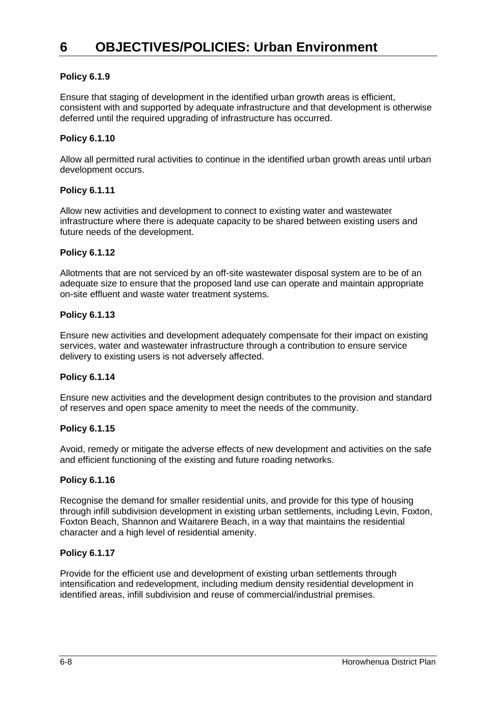#### **Policy 6.1.9**

Ensure that staging of development in the identified urban growth areas is efficient, consistent with and supported by adequate infrastructure and that development is otherwise deferred until the required upgrading of infrastructure has occurred.

#### **Policy 6.1.10**

Allow all permitted rural activities to continue in the identified urban growth areas until urban development occurs.

#### **Policy 6.1.11**

Allow new activities and development to connect to existing water and wastewater infrastructure where there is adequate capacity to be shared between existing users and future needs of the development.

#### **Policy 6.1.12**

Allotments that are not serviced by an off-site wastewater disposal system are to be of an adequate size to ensure that the proposed land use can operate and maintain appropriate on-site effluent and waste water treatment systems.

#### **Policy 6.1.13**

Ensure new activities and development adequately compensate for their impact on existing services, water and wastewater infrastructure through a contribution to ensure service delivery to existing users is not adversely affected.

#### **Policy 6.1.14**

Ensure new activities and the development design contributes to the provision and standard of reserves and open space amenity to meet the needs of the community.

#### **Policy 6.1.15**

Avoid, remedy or mitigate the adverse effects of new development and activities on the safe and efficient functioning of the existing and future roading networks.

#### **Policy 6.1.16**

Recognise the demand for smaller residential units, and provide for this type of housing through infill subdivision development in existing urban settlements, including Levin, Foxton, Foxton Beach, Shannon and Waitarere Beach, in a way that maintains the residential character and a high level of residential amenity.

#### **Policy 6.1.17**

Provide for the efficient use and development of existing urban settlements through intensification and redevelopment, including medium density residential development in identified areas, infill subdivision and reuse of commercial/industrial premises.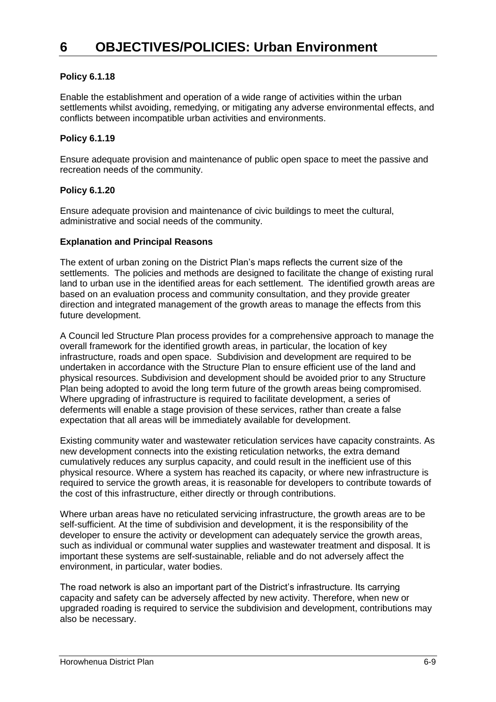#### **Policy 6.1.18**

Enable the establishment and operation of a wide range of activities within the urban settlements whilst avoiding, remedying, or mitigating any adverse environmental effects, and conflicts between incompatible urban activities and environments.

#### **Policy 6.1.19**

Ensure adequate provision and maintenance of public open space to meet the passive and recreation needs of the community.

#### **Policy 6.1.20**

Ensure adequate provision and maintenance of civic buildings to meet the cultural, administrative and social needs of the community.

#### **Explanation and Principal Reasons**

The extent of urban zoning on the District Plan's maps reflects the current size of the settlements. The policies and methods are designed to facilitate the change of existing rural land to urban use in the identified areas for each settlement. The identified growth areas are based on an evaluation process and community consultation, and they provide greater direction and integrated management of the growth areas to manage the effects from this future development.

A Council led Structure Plan process provides for a comprehensive approach to manage the overall framework for the identified growth areas, in particular, the location of key infrastructure, roads and open space. Subdivision and development are required to be undertaken in accordance with the Structure Plan to ensure efficient use of the land and physical resources. Subdivision and development should be avoided prior to any Structure Plan being adopted to avoid the long term future of the growth areas being compromised. Where upgrading of infrastructure is required to facilitate development, a series of deferments will enable a stage provision of these services, rather than create a false expectation that all areas will be immediately available for development.

Existing community water and wastewater reticulation services have capacity constraints. As new development connects into the existing reticulation networks, the extra demand cumulatively reduces any surplus capacity, and could result in the inefficient use of this physical resource. Where a system has reached its capacity, or where new infrastructure is required to service the growth areas, it is reasonable for developers to contribute towards of the cost of this infrastructure, either directly or through contributions.

Where urban areas have no reticulated servicing infrastructure, the growth areas are to be self-sufficient. At the time of subdivision and development, it is the responsibility of the developer to ensure the activity or development can adequately service the growth areas, such as individual or communal water supplies and wastewater treatment and disposal. It is important these systems are self-sustainable, reliable and do not adversely affect the environment, in particular, water bodies.

The road network is also an important part of the District's infrastructure. Its carrying capacity and safety can be adversely affected by new activity. Therefore, when new or upgraded roading is required to service the subdivision and development, contributions may also be necessary.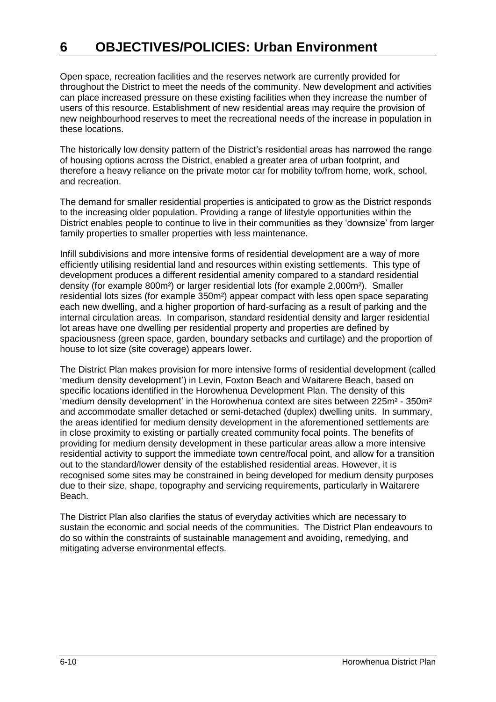Open space, recreation facilities and the reserves network are currently provided for throughout the District to meet the needs of the community. New development and activities can place increased pressure on these existing facilities when they increase the number of users of this resource. Establishment of new residential areas may require the provision of new neighbourhood reserves to meet the recreational needs of the increase in population in these locations.

The historically low density pattern of the District's residential areas has narrowed the range of housing options across the District, enabled a greater area of urban footprint, and therefore a heavy reliance on the private motor car for mobility to/from home, work, school, and recreation.

The demand for smaller residential properties is anticipated to grow as the District responds to the increasing older population. Providing a range of lifestyle opportunities within the District enables people to continue to live in their communities as they 'downsize' from larger family properties to smaller properties with less maintenance.

Infill subdivisions and more intensive forms of residential development are a way of more efficiently utilising residential land and resources within existing settlements. This type of development produces a different residential amenity compared to a standard residential density (for example 800m²) or larger residential lots (for example 2,000m²). Smaller residential lots sizes (for example 350m²) appear compact with less open space separating each new dwelling, and a higher proportion of hard-surfacing as a result of parking and the internal circulation areas. In comparison, standard residential density and larger residential lot areas have one dwelling per residential property and properties are defined by spaciousness (green space, garden, boundary setbacks and curtilage) and the proportion of house to lot size (site coverage) appears lower.

The District Plan makes provision for more intensive forms of residential development (called 'medium density development') in Levin, Foxton Beach and Waitarere Beach, based on specific locations identified in the Horowhenua Development Plan. The density of this 'medium density development' in the Horowhenua context are sites between 225m² - 350m² and accommodate smaller detached or semi-detached (duplex) dwelling units. In summary, the areas identified for medium density development in the aforementioned settlements are in close proximity to existing or partially created community focal points. The benefits of providing for medium density development in these particular areas allow a more intensive residential activity to support the immediate town centre/focal point, and allow for a transition out to the standard/lower density of the established residential areas. However, it is recognised some sites may be constrained in being developed for medium density purposes due to their size, shape, topography and servicing requirements, particularly in Waitarere Beach.

The District Plan also clarifies the status of everyday activities which are necessary to sustain the economic and social needs of the communities. The District Plan endeavours to do so within the constraints of sustainable management and avoiding, remedying, and mitigating adverse environmental effects.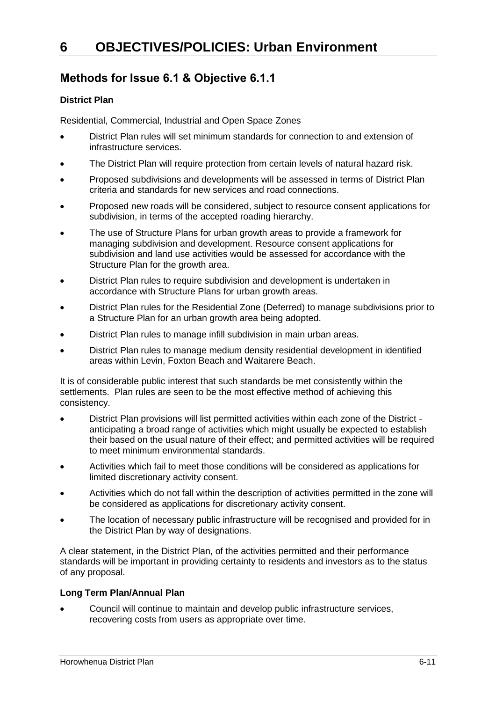### **Methods for Issue 6.1 & Objective 6.1.1**

#### **District Plan**

Residential, Commercial, Industrial and Open Space Zones

- District Plan rules will set minimum standards for connection to and extension of infrastructure services.
- The District Plan will require protection from certain levels of natural hazard risk.
- Proposed subdivisions and developments will be assessed in terms of District Plan criteria and standards for new services and road connections.
- Proposed new roads will be considered, subject to resource consent applications for subdivision, in terms of the accepted roading hierarchy.
- The use of Structure Plans for urban growth areas to provide a framework for managing subdivision and development. Resource consent applications for subdivision and land use activities would be assessed for accordance with the Structure Plan for the growth area.
- District Plan rules to require subdivision and development is undertaken in accordance with Structure Plans for urban growth areas.
- District Plan rules for the Residential Zone (Deferred) to manage subdivisions prior to a Structure Plan for an urban growth area being adopted.
- District Plan rules to manage infill subdivision in main urban areas.
- District Plan rules to manage medium density residential development in identified areas within Levin, Foxton Beach and Waitarere Beach.

It is of considerable public interest that such standards be met consistently within the settlements. Plan rules are seen to be the most effective method of achieving this consistency.

- District Plan provisions will list permitted activities within each zone of the District anticipating a broad range of activities which might usually be expected to establish their based on the usual nature of their effect; and permitted activities will be required to meet minimum environmental standards.
- Activities which fail to meet those conditions will be considered as applications for limited discretionary activity consent.
- Activities which do not fall within the description of activities permitted in the zone will be considered as applications for discretionary activity consent.
- The location of necessary public infrastructure will be recognised and provided for in the District Plan by way of designations.

A clear statement, in the District Plan, of the activities permitted and their performance standards will be important in providing certainty to residents and investors as to the status of any proposal.

#### **Long Term Plan/Annual Plan**

 Council will continue to maintain and develop public infrastructure services, recovering costs from users as appropriate over time.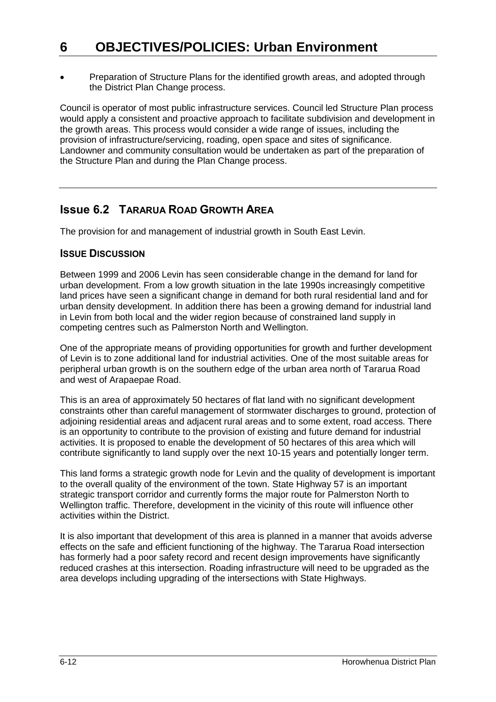Preparation of Structure Plans for the identified growth areas, and adopted through the District Plan Change process.

Council is operator of most public infrastructure services. Council led Structure Plan process would apply a consistent and proactive approach to facilitate subdivision and development in the growth areas. This process would consider a wide range of issues, including the provision of infrastructure/servicing, roading, open space and sites of significance. Landowner and community consultation would be undertaken as part of the preparation of the Structure Plan and during the Plan Change process.

### **Issue 6.2 TARARUA ROAD GROWTH AREA**

The provision for and management of industrial growth in South East Levin.

### **ISSUE DISCUSSION**

Between 1999 and 2006 Levin has seen considerable change in the demand for land for urban development. From a low growth situation in the late 1990s increasingly competitive land prices have seen a significant change in demand for both rural residential land and for urban density development. In addition there has been a growing demand for industrial land in Levin from both local and the wider region because of constrained land supply in competing centres such as Palmerston North and Wellington.

One of the appropriate means of providing opportunities for growth and further development of Levin is to zone additional land for industrial activities. One of the most suitable areas for peripheral urban growth is on the southern edge of the urban area north of Tararua Road and west of Arapaepae Road.

This is an area of approximately 50 hectares of flat land with no significant development constraints other than careful management of stormwater discharges to ground, protection of adjoining residential areas and adjacent rural areas and to some extent, road access. There is an opportunity to contribute to the provision of existing and future demand for industrial activities. It is proposed to enable the development of 50 hectares of this area which will contribute significantly to land supply over the next 10-15 years and potentially longer term.

This land forms a strategic growth node for Levin and the quality of development is important to the overall quality of the environment of the town. State Highway 57 is an important strategic transport corridor and currently forms the major route for Palmerston North to Wellington traffic. Therefore, development in the vicinity of this route will influence other activities within the District.

It is also important that development of this area is planned in a manner that avoids adverse effects on the safe and efficient functioning of the highway. The Tararua Road intersection has formerly had a poor safety record and recent design improvements have significantly reduced crashes at this intersection. Roading infrastructure will need to be upgraded as the area develops including upgrading of the intersections with State Highways.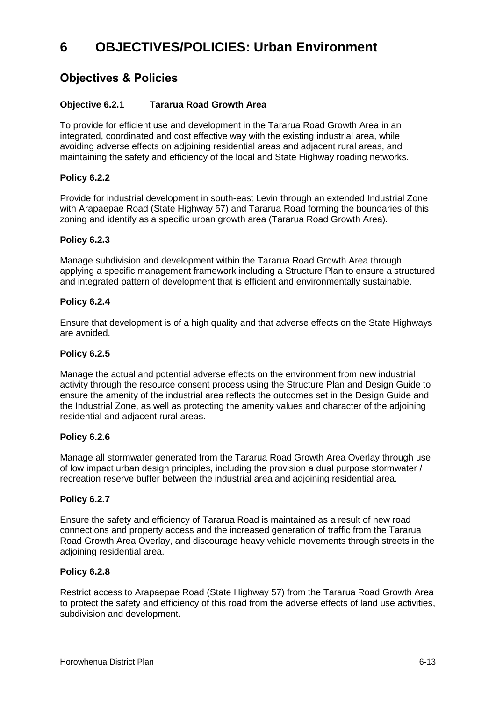### **Objectives & Policies**

#### **Objective 6.2.1 Tararua Road Growth Area**

To provide for efficient use and development in the Tararua Road Growth Area in an integrated, coordinated and cost effective way with the existing industrial area, while avoiding adverse effects on adjoining residential areas and adjacent rural areas, and maintaining the safety and efficiency of the local and State Highway roading networks.

#### **Policy 6.2.2**

Provide for industrial development in south-east Levin through an extended Industrial Zone with Arapaepae Road (State Highway 57) and Tararua Road forming the boundaries of this zoning and identify as a specific urban growth area (Tararua Road Growth Area).

#### **Policy 6.2.3**

Manage subdivision and development within the Tararua Road Growth Area through applying a specific management framework including a Structure Plan to ensure a structured and integrated pattern of development that is efficient and environmentally sustainable.

#### **Policy 6.2.4**

Ensure that development is of a high quality and that adverse effects on the State Highways are avoided.

#### **Policy 6.2.5**

Manage the actual and potential adverse effects on the environment from new industrial activity through the resource consent process using the Structure Plan and Design Guide to ensure the amenity of the industrial area reflects the outcomes set in the Design Guide and the Industrial Zone, as well as protecting the amenity values and character of the adjoining residential and adjacent rural areas.

#### **Policy 6.2.6**

Manage all stormwater generated from the Tararua Road Growth Area Overlay through use of low impact urban design principles, including the provision a dual purpose stormwater / recreation reserve buffer between the industrial area and adjoining residential area.

#### **Policy 6.2.7**

Ensure the safety and efficiency of Tararua Road is maintained as a result of new road connections and property access and the increased generation of traffic from the Tararua Road Growth Area Overlay, and discourage heavy vehicle movements through streets in the adjoining residential area.

#### **Policy 6.2.8**

Restrict access to Arapaepae Road (State Highway 57) from the Tararua Road Growth Area to protect the safety and efficiency of this road from the adverse effects of land use activities, subdivision and development.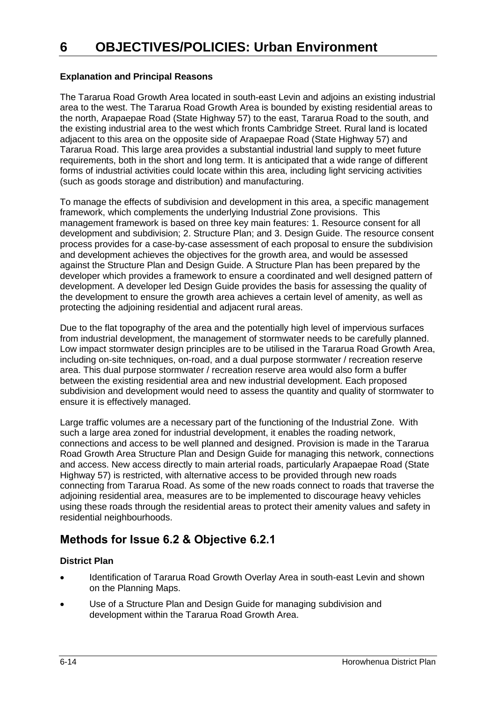#### **Explanation and Principal Reasons**

The Tararua Road Growth Area located in south-east Levin and adjoins an existing industrial area to the west. The Tararua Road Growth Area is bounded by existing residential areas to the north, Arapaepae Road (State Highway 57) to the east, Tararua Road to the south, and the existing industrial area to the west which fronts Cambridge Street. Rural land is located adjacent to this area on the opposite side of Arapaepae Road (State Highway 57) and Tararua Road. This large area provides a substantial industrial land supply to meet future requirements, both in the short and long term. It is anticipated that a wide range of different forms of industrial activities could locate within this area, including light servicing activities (such as goods storage and distribution) and manufacturing.

To manage the effects of subdivision and development in this area, a specific management framework, which complements the underlying Industrial Zone provisions. This management framework is based on three key main features: 1. Resource consent for all development and subdivision; 2. Structure Plan; and 3. Design Guide. The resource consent process provides for a case-by-case assessment of each proposal to ensure the subdivision and development achieves the objectives for the growth area, and would be assessed against the Structure Plan and Design Guide. A Structure Plan has been prepared by the developer which provides a framework to ensure a coordinated and well designed pattern of development. A developer led Design Guide provides the basis for assessing the quality of the development to ensure the growth area achieves a certain level of amenity, as well as protecting the adjoining residential and adjacent rural areas.

Due to the flat topography of the area and the potentially high level of impervious surfaces from industrial development, the management of stormwater needs to be carefully planned. Low impact stormwater design principles are to be utilised in the Tararua Road Growth Area, including on-site techniques, on-road, and a dual purpose stormwater / recreation reserve area. This dual purpose stormwater / recreation reserve area would also form a buffer between the existing residential area and new industrial development. Each proposed subdivision and development would need to assess the quantity and quality of stormwater to ensure it is effectively managed.

Large traffic volumes are a necessary part of the functioning of the Industrial Zone. With such a large area zoned for industrial development, it enables the roading network, connections and access to be well planned and designed. Provision is made in the Tararua Road Growth Area Structure Plan and Design Guide for managing this network, connections and access. New access directly to main arterial roads, particularly Arapaepae Road (State Highway 57) is restricted, with alternative access to be provided through new roads connecting from Tararua Road. As some of the new roads connect to roads that traverse the adjoining residential area, measures are to be implemented to discourage heavy vehicles using these roads through the residential areas to protect their amenity values and safety in residential neighbourhoods.

### **Methods for Issue 6.2 & Objective 6.2.1**

#### **District Plan**

- Identification of Tararua Road Growth Overlay Area in south-east Levin and shown on the Planning Maps.
- Use of a Structure Plan and Design Guide for managing subdivision and development within the Tararua Road Growth Area.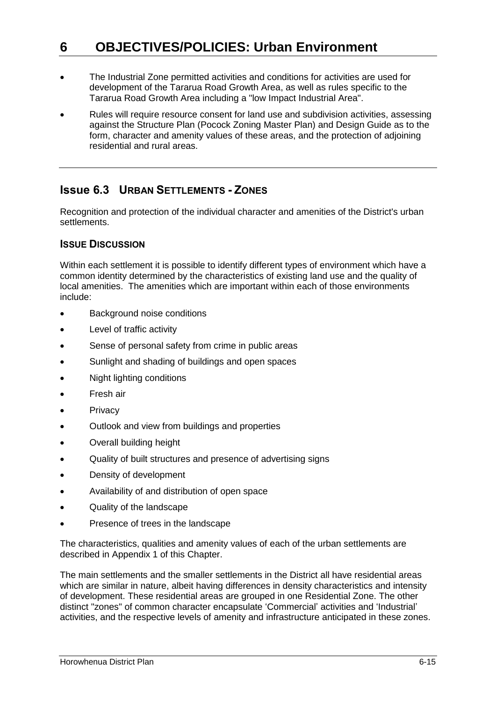- The Industrial Zone permitted activities and conditions for activities are used for development of the Tararua Road Growth Area, as well as rules specific to the Tararua Road Growth Area including a "low Impact Industrial Area".
- Rules will require resource consent for land use and subdivision activities, assessing against the Structure Plan (Pocock Zoning Master Plan) and Design Guide as to the form, character and amenity values of these areas, and the protection of adjoining residential and rural areas.

### **Issue 6.3 URBAN SETTLEMENTS - ZONES**

Recognition and protection of the individual character and amenities of the District's urban settlements.

#### **ISSUE DISCUSSION**

Within each settlement it is possible to identify different types of environment which have a common identity determined by the characteristics of existing land use and the quality of local amenities. The amenities which are important within each of those environments include:

- Background noise conditions
- Level of traffic activity
- Sense of personal safety from crime in public areas
- Sunlight and shading of buildings and open spaces
- Night lighting conditions
- Fresh air
- **Privacy**
- Outlook and view from buildings and properties
- Overall building height
- Quality of built structures and presence of advertising signs
- Density of development
- Availability of and distribution of open space
- Quality of the landscape
- Presence of trees in the landscape

The characteristics, qualities and amenity values of each of the urban settlements are described in Appendix 1 of this Chapter.

The main settlements and the smaller settlements in the District all have residential areas which are similar in nature, albeit having differences in density characteristics and intensity of development. These residential areas are grouped in one Residential Zone. The other distinct "zones" of common character encapsulate 'Commercial' activities and 'Industrial' activities, and the respective levels of amenity and infrastructure anticipated in these zones.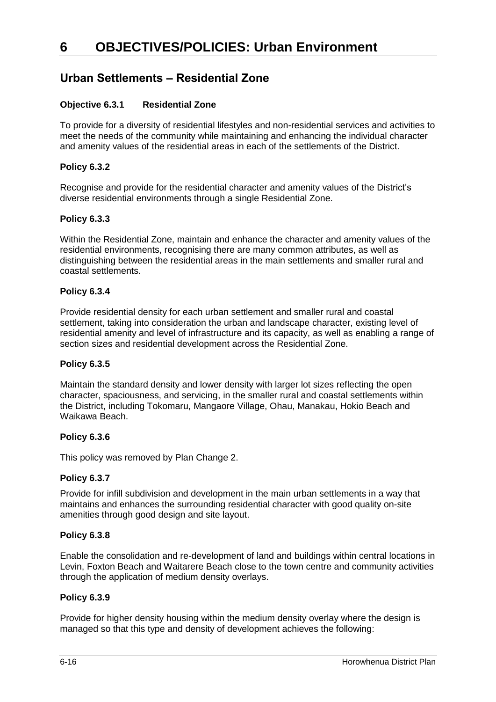### **Urban Settlements – Residential Zone**

#### **Objective 6.3.1 Residential Zone**

To provide for a diversity of residential lifestyles and non-residential services and activities to meet the needs of the community while maintaining and enhancing the individual character and amenity values of the residential areas in each of the settlements of the District.

#### **Policy 6.3.2**

Recognise and provide for the residential character and amenity values of the District's diverse residential environments through a single Residential Zone.

#### **Policy 6.3.3**

Within the Residential Zone, maintain and enhance the character and amenity values of the residential environments, recognising there are many common attributes, as well as distinguishing between the residential areas in the main settlements and smaller rural and coastal settlements.

#### **Policy 6.3.4**

Provide residential density for each urban settlement and smaller rural and coastal settlement, taking into consideration the urban and landscape character, existing level of residential amenity and level of infrastructure and its capacity, as well as enabling a range of section sizes and residential development across the Residential Zone.

#### **Policy 6.3.5**

Maintain the standard density and lower density with larger lot sizes reflecting the open character, spaciousness, and servicing, in the smaller rural and coastal settlements within the District, including Tokomaru, Mangaore Village, Ohau, Manakau, Hokio Beach and Waikawa Beach.

#### **Policy 6.3.6**

This policy was removed by Plan Change 2.

#### **Policy 6.3.7**

Provide for infill subdivision and development in the main urban settlements in a way that maintains and enhances the surrounding residential character with good quality on-site amenities through good design and site layout.

#### **Policy 6.3.8**

Enable the consolidation and re-development of land and buildings within central locations in Levin, Foxton Beach and Waitarere Beach close to the town centre and community activities through the application of medium density overlays.

#### **Policy 6.3.9**

Provide for higher density housing within the medium density overlay where the design is managed so that this type and density of development achieves the following: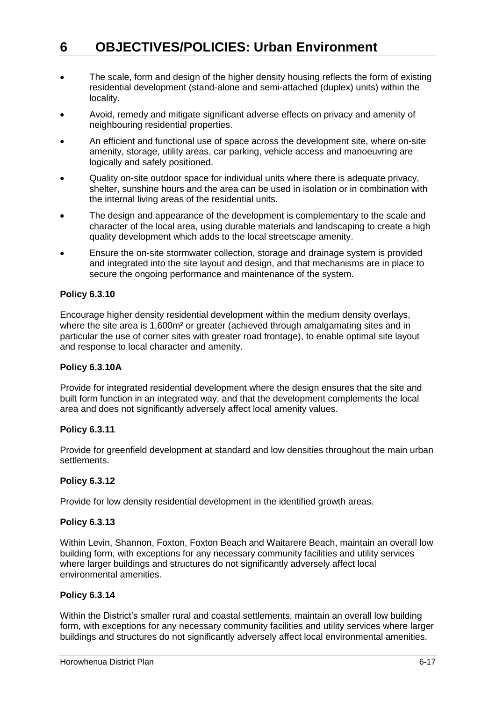- The scale, form and design of the higher density housing reflects the form of existing residential development (stand-alone and semi-attached (duplex) units) within the locality.
- Avoid, remedy and mitigate significant adverse effects on privacy and amenity of neighbouring residential properties.
- An efficient and functional use of space across the development site, where on-site amenity, storage, utility areas, car parking, vehicle access and manoeuvring are logically and safely positioned.
- Quality on-site outdoor space for individual units where there is adequate privacy, shelter, sunshine hours and the area can be used in isolation or in combination with the internal living areas of the residential units.
- The design and appearance of the development is complementary to the scale and character of the local area, using durable materials and landscaping to create a high quality development which adds to the local streetscape amenity.
- Ensure the on-site stormwater collection, storage and drainage system is provided and integrated into the site layout and design, and that mechanisms are in place to secure the ongoing performance and maintenance of the system.

#### **Policy 6.3.10**

Encourage higher density residential development within the medium density overlays, where the site area is 1,600m<sup>2</sup> or greater (achieved through amalgamating sites and in particular the use of corner sites with greater road frontage), to enable optimal site layout and response to local character and amenity.

#### **Policy 6.3.10A**

Provide for integrated residential development where the design ensures that the site and built form function in an integrated way, and that the development complements the local area and does not significantly adversely affect local amenity values.

#### **Policy 6.3.11**

Provide for greenfield development at standard and low densities throughout the main urban settlements.

#### **Policy 6.3.12**

Provide for low density residential development in the identified growth areas.

#### **Policy 6.3.13**

Within Levin, Shannon, Foxton, Foxton Beach and Waitarere Beach, maintain an overall low building form, with exceptions for any necessary community facilities and utility services where larger buildings and structures do not significantly adversely affect local environmental amenities.

#### **Policy 6.3.14**

Within the District's smaller rural and coastal settlements, maintain an overall low building form, with exceptions for any necessary community facilities and utility services where larger buildings and structures do not significantly adversely affect local environmental amenities.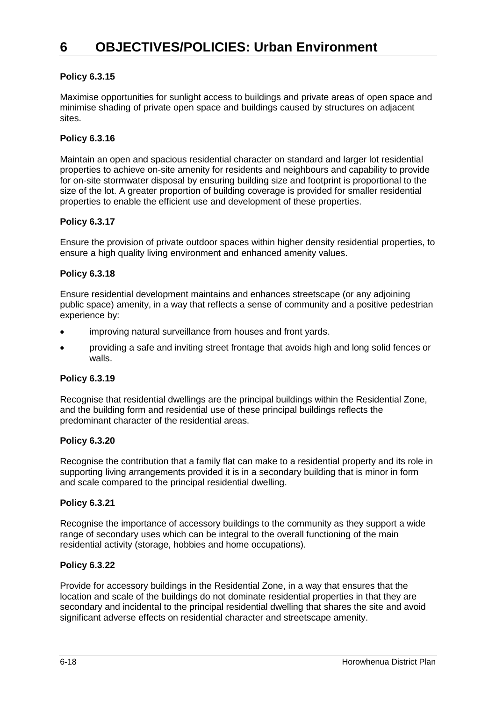#### **Policy 6.3.15**

Maximise opportunities for sunlight access to buildings and private areas of open space and minimise shading of private open space and buildings caused by structures on adjacent sites.

#### **Policy 6.3.16**

Maintain an open and spacious residential character on standard and larger lot residential properties to achieve on-site amenity for residents and neighbours and capability to provide for on-site stormwater disposal by ensuring building size and footprint is proportional to the size of the lot. A greater proportion of building coverage is provided for smaller residential properties to enable the efficient use and development of these properties.

#### **Policy 6.3.17**

Ensure the provision of private outdoor spaces within higher density residential properties, to ensure a high quality living environment and enhanced amenity values.

#### **Policy 6.3.18**

Ensure residential development maintains and enhances streetscape (or any adjoining public space) amenity, in a way that reflects a sense of community and a positive pedestrian experience by:

- improving natural surveillance from houses and front yards.
- providing a safe and inviting street frontage that avoids high and long solid fences or walls.

#### **Policy 6.3.19**

Recognise that residential dwellings are the principal buildings within the Residential Zone, and the building form and residential use of these principal buildings reflects the predominant character of the residential areas.

#### **Policy 6.3.20**

Recognise the contribution that a family flat can make to a residential property and its role in supporting living arrangements provided it is in a secondary building that is minor in form and scale compared to the principal residential dwelling.

#### **Policy 6.3.21**

Recognise the importance of accessory buildings to the community as they support a wide range of secondary uses which can be integral to the overall functioning of the main residential activity (storage, hobbies and home occupations).

#### **Policy 6.3.22**

Provide for accessory buildings in the Residential Zone, in a way that ensures that the location and scale of the buildings do not dominate residential properties in that they are secondary and incidental to the principal residential dwelling that shares the site and avoid significant adverse effects on residential character and streetscape amenity.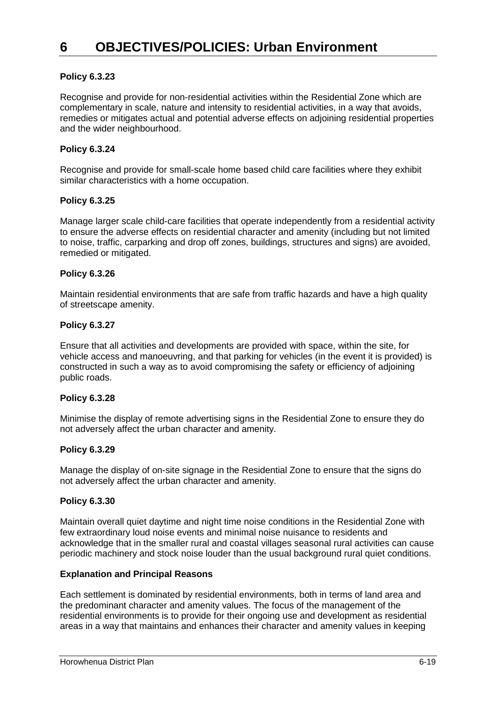#### **Policy 6.3.23**

Recognise and provide for non-residential activities within the Residential Zone which are complementary in scale, nature and intensity to residential activities, in a way that avoids, remedies or mitigates actual and potential adverse effects on adjoining residential properties and the wider neighbourhood.

#### **Policy 6.3.24**

Recognise and provide for small-scale home based child care facilities where they exhibit similar characteristics with a home occupation.

#### **Policy 6.3.25**

Manage larger scale child-care facilities that operate independently from a residential activity to ensure the adverse effects on residential character and amenity (including but not limited to noise, traffic, carparking and drop off zones, buildings, structures and signs) are avoided, remedied or mitigated.

#### **Policy 6.3.26**

Maintain residential environments that are safe from traffic hazards and have a high quality of streetscape amenity.

#### **Policy 6.3.27**

Ensure that all activities and developments are provided with space, within the site, for vehicle access and manoeuvring, and that parking for vehicles (in the event it is provided) is constructed in such a way as to avoid compromising the safety or efficiency of adjoining public roads.

#### **Policy 6.3.28**

Minimise the display of remote advertising signs in the Residential Zone to ensure they do not adversely affect the urban character and amenity.

#### **Policy 6.3.29**

Manage the display of on-site signage in the Residential Zone to ensure that the signs do not adversely affect the urban character and amenity.

#### **Policy 6.3.30**

Maintain overall quiet daytime and night time noise conditions in the Residential Zone with few extraordinary loud noise events and minimal noise nuisance to residents and acknowledge that in the smaller rural and coastal villages seasonal rural activities can cause periodic machinery and stock noise louder than the usual background rural quiet conditions.

#### **Explanation and Principal Reasons**

Each settlement is dominated by residential environments, both in terms of land area and the predominant character and amenity values. The focus of the management of the residential environments is to provide for their ongoing use and development as residential areas in a way that maintains and enhances their character and amenity values in keeping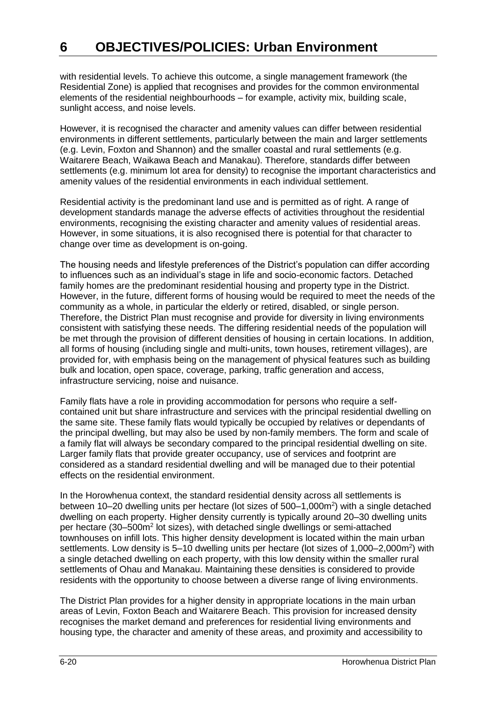with residential levels. To achieve this outcome, a single management framework (the Residential Zone) is applied that recognises and provides for the common environmental elements of the residential neighbourhoods – for example, activity mix, building scale, sunlight access, and noise levels.

However, it is recognised the character and amenity values can differ between residential environments in different settlements, particularly between the main and larger settlements (e.g. Levin, Foxton and Shannon) and the smaller coastal and rural settlements (e.g. Waitarere Beach, Waikawa Beach and Manakau). Therefore, standards differ between settlements (e.g. minimum lot area for density) to recognise the important characteristics and amenity values of the residential environments in each individual settlement.

Residential activity is the predominant land use and is permitted as of right. A range of development standards manage the adverse effects of activities throughout the residential environments, recognising the existing character and amenity values of residential areas. However, in some situations, it is also recognised there is potential for that character to change over time as development is on-going.

The housing needs and lifestyle preferences of the District's population can differ according to influences such as an individual's stage in life and socio-economic factors. Detached family homes are the predominant residential housing and property type in the District. However, in the future, different forms of housing would be required to meet the needs of the community as a whole, in particular the elderly or retired, disabled, or single person. Therefore, the District Plan must recognise and provide for diversity in living environments consistent with satisfying these needs. The differing residential needs of the population will be met through the provision of different densities of housing in certain locations. In addition, all forms of housing (including single and multi-units, town houses, retirement villages), are provided for, with emphasis being on the management of physical features such as building bulk and location, open space, coverage, parking, traffic generation and access, infrastructure servicing, noise and nuisance.

Family flats have a role in providing accommodation for persons who require a selfcontained unit but share infrastructure and services with the principal residential dwelling on the same site. These family flats would typically be occupied by relatives or dependants of the principal dwelling, but may also be used by non-family members. The form and scale of a family flat will always be secondary compared to the principal residential dwelling on site. Larger family flats that provide greater occupancy, use of services and footprint are considered as a standard residential dwelling and will be managed due to their potential effects on the residential environment.

In the Horowhenua context, the standard residential density across all settlements is between 10–20 dwelling units per hectare (lot sizes of 500–1,000m<sup>2</sup>) with a single detached dwelling on each property. Higher density currently is typically around 20–30 dwelling units per hectare (30–500m<sup>2</sup> lot sizes), with detached single dwellings or semi-attached townhouses on infill lots. This higher density development is located within the main urban settlements. Low density is 5-10 dwelling units per hectare (lot sizes of 1,000-2,000m<sup>2</sup>) with a single detached dwelling on each property, with this low density within the smaller rural settlements of Ohau and Manakau. Maintaining these densities is considered to provide residents with the opportunity to choose between a diverse range of living environments.

The District Plan provides for a higher density in appropriate locations in the main urban areas of Levin, Foxton Beach and Waitarere Beach. This provision for increased density recognises the market demand and preferences for residential living environments and housing type, the character and amenity of these areas, and proximity and accessibility to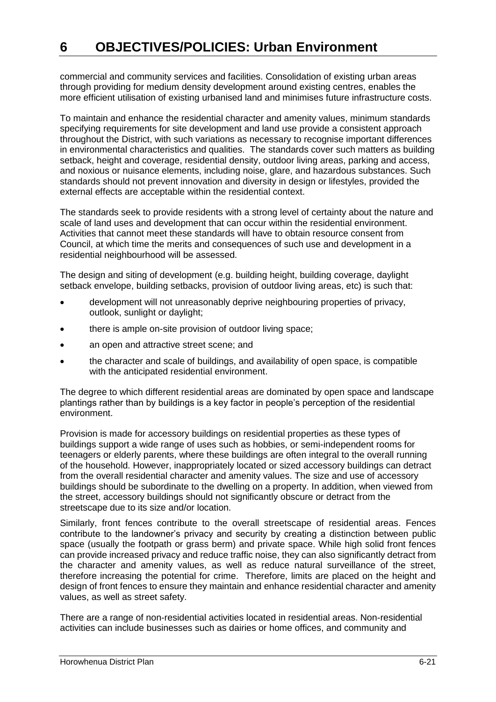commercial and community services and facilities. Consolidation of existing urban areas through providing for medium density development around existing centres, enables the more efficient utilisation of existing urbanised land and minimises future infrastructure costs.

To maintain and enhance the residential character and amenity values, minimum standards specifying requirements for site development and land use provide a consistent approach throughout the District, with such variations as necessary to recognise important differences in environmental characteristics and qualities. The standards cover such matters as building setback, height and coverage, residential density, outdoor living areas, parking and access, and noxious or nuisance elements, including noise, glare, and hazardous substances. Such standards should not prevent innovation and diversity in design or lifestyles, provided the external effects are acceptable within the residential context.

The standards seek to provide residents with a strong level of certainty about the nature and scale of land uses and development that can occur within the residential environment. Activities that cannot meet these standards will have to obtain resource consent from Council, at which time the merits and consequences of such use and development in a residential neighbourhood will be assessed.

The design and siting of development (e.g. building height, building coverage, daylight setback envelope, building setbacks, provision of outdoor living areas, etc) is such that:

- development will not unreasonably deprive neighbouring properties of privacy, outlook, sunlight or daylight;
- there is ample on-site provision of outdoor living space;
- an open and attractive street scene; and
- the character and scale of buildings, and availability of open space, is compatible with the anticipated residential environment.

The degree to which different residential areas are dominated by open space and landscape plantings rather than by buildings is a key factor in people's perception of the residential environment.

Provision is made for accessory buildings on residential properties as these types of buildings support a wide range of uses such as hobbies, or semi-independent rooms for teenagers or elderly parents, where these buildings are often integral to the overall running of the household. However, inappropriately located or sized accessory buildings can detract from the overall residential character and amenity values. The size and use of accessory buildings should be subordinate to the dwelling on a property. In addition, when viewed from the street, accessory buildings should not significantly obscure or detract from the streetscape due to its size and/or location.

Similarly, front fences contribute to the overall streetscape of residential areas. Fences contribute to the landowner's privacy and security by creating a distinction between public space (usually the footpath or grass berm) and private space. While high solid front fences can provide increased privacy and reduce traffic noise, they can also significantly detract from the character and amenity values, as well as reduce natural surveillance of the street, therefore increasing the potential for crime. Therefore, limits are placed on the height and design of front fences to ensure they maintain and enhance residential character and amenity values, as well as street safety.

There are a range of non-residential activities located in residential areas. Non-residential activities can include businesses such as dairies or home offices, and community and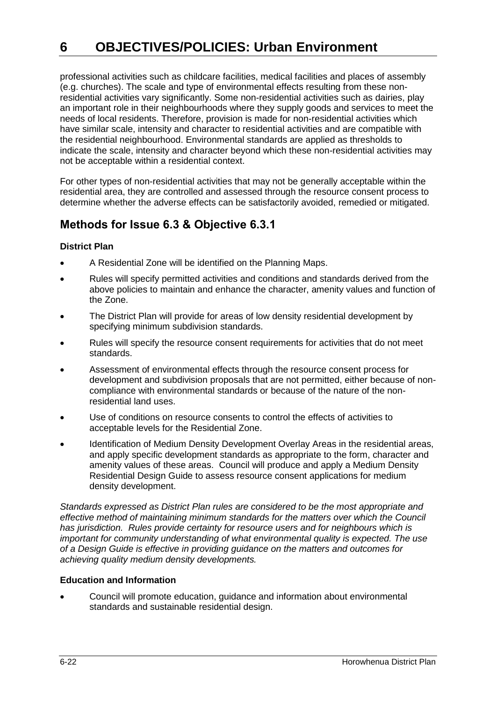professional activities such as childcare facilities, medical facilities and places of assembly (e.g. churches). The scale and type of environmental effects resulting from these nonresidential activities vary significantly. Some non-residential activities such as dairies, play an important role in their neighbourhoods where they supply goods and services to meet the needs of local residents. Therefore, provision is made for non-residential activities which have similar scale, intensity and character to residential activities and are compatible with the residential neighbourhood. Environmental standards are applied as thresholds to indicate the scale, intensity and character beyond which these non-residential activities may not be acceptable within a residential context.

For other types of non-residential activities that may not be generally acceptable within the residential area, they are controlled and assessed through the resource consent process to determine whether the adverse effects can be satisfactorily avoided, remedied or mitigated.

### **Methods for Issue 6.3 & Objective 6.3.1**

#### **District Plan**

- A Residential Zone will be identified on the Planning Maps.
- Rules will specify permitted activities and conditions and standards derived from the above policies to maintain and enhance the character, amenity values and function of the Zone.
- The District Plan will provide for areas of low density residential development by specifying minimum subdivision standards.
- Rules will specify the resource consent requirements for activities that do not meet standards.
- Assessment of environmental effects through the resource consent process for development and subdivision proposals that are not permitted, either because of noncompliance with environmental standards or because of the nature of the nonresidential land uses.
- Use of conditions on resource consents to control the effects of activities to acceptable levels for the Residential Zone.
- Identification of Medium Density Development Overlay Areas in the residential areas, and apply specific development standards as appropriate to the form, character and amenity values of these areas. Council will produce and apply a Medium Density Residential Design Guide to assess resource consent applications for medium density development.

*Standards expressed as District Plan rules are considered to be the most appropriate and effective method of maintaining minimum standards for the matters over which the Council has jurisdiction. Rules provide certainty for resource users and for neighbours which is important for community understanding of what environmental quality is expected. The use of a Design Guide is effective in providing guidance on the matters and outcomes for achieving quality medium density developments.*

#### **Education and Information**

 Council will promote education, guidance and information about environmental standards and sustainable residential design.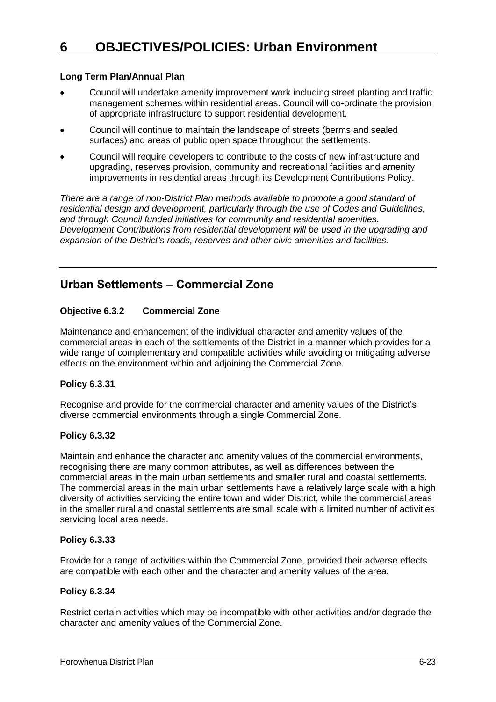#### **Long Term Plan/Annual Plan**

- Council will undertake amenity improvement work including street planting and traffic management schemes within residential areas. Council will co-ordinate the provision of appropriate infrastructure to support residential development.
- Council will continue to maintain the landscape of streets (berms and sealed surfaces) and areas of public open space throughout the settlements.
- Council will require developers to contribute to the costs of new infrastructure and upgrading, reserves provision, community and recreational facilities and amenity improvements in residential areas through its Development Contributions Policy.

*There are a range of non-District Plan methods available to promote a good standard of residential design and development, particularly through the use of Codes and Guidelines, and through Council funded initiatives for community and residential amenities. Development Contributions from residential development will be used in the upgrading and expansion of the District's roads, reserves and other civic amenities and facilities.*

### **Urban Settlements – Commercial Zone**

#### **Objective 6.3.2 Commercial Zone**

Maintenance and enhancement of the individual character and amenity values of the commercial areas in each of the settlements of the District in a manner which provides for a wide range of complementary and compatible activities while avoiding or mitigating adverse effects on the environment within and adjoining the Commercial Zone.

#### **Policy 6.3.31**

Recognise and provide for the commercial character and amenity values of the District's diverse commercial environments through a single Commercial Zone.

#### **Policy 6.3.32**

Maintain and enhance the character and amenity values of the commercial environments, recognising there are many common attributes, as well as differences between the commercial areas in the main urban settlements and smaller rural and coastal settlements. The commercial areas in the main urban settlements have a relatively large scale with a high diversity of activities servicing the entire town and wider District, while the commercial areas in the smaller rural and coastal settlements are small scale with a limited number of activities servicing local area needs.

#### **Policy 6.3.33**

Provide for a range of activities within the Commercial Zone, provided their adverse effects are compatible with each other and the character and amenity values of the area.

#### **Policy 6.3.34**

Restrict certain activities which may be incompatible with other activities and/or degrade the character and amenity values of the Commercial Zone.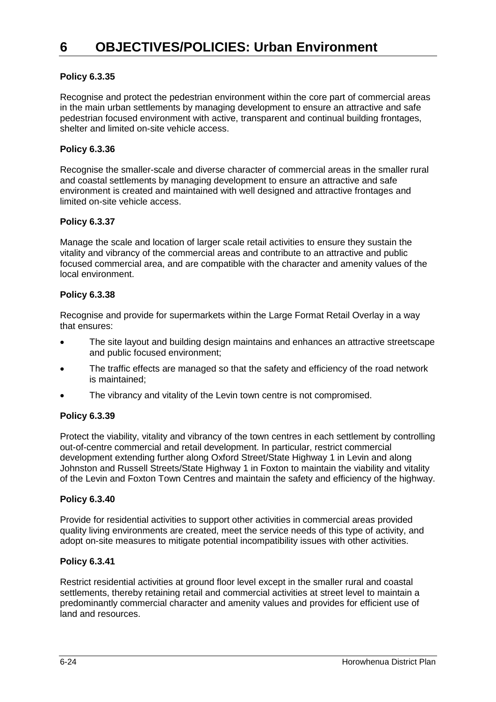#### **Policy 6.3.35**

Recognise and protect the pedestrian environment within the core part of commercial areas in the main urban settlements by managing development to ensure an attractive and safe pedestrian focused environment with active, transparent and continual building frontages, shelter and limited on-site vehicle access.

#### **Policy 6.3.36**

Recognise the smaller-scale and diverse character of commercial areas in the smaller rural and coastal settlements by managing development to ensure an attractive and safe environment is created and maintained with well designed and attractive frontages and limited on-site vehicle access.

#### **Policy 6.3.37**

Manage the scale and location of larger scale retail activities to ensure they sustain the vitality and vibrancy of the commercial areas and contribute to an attractive and public focused commercial area, and are compatible with the character and amenity values of the local environment.

#### **Policy 6.3.38**

Recognise and provide for supermarkets within the Large Format Retail Overlay in a way that ensures:

- The site layout and building design maintains and enhances an attractive streetscape and public focused environment;
- The traffic effects are managed so that the safety and efficiency of the road network is maintained;
- The vibrancy and vitality of the Levin town centre is not compromised.

#### **Policy 6.3.39**

Protect the viability, vitality and vibrancy of the town centres in each settlement by controlling out-of-centre commercial and retail development. In particular, restrict commercial development extending further along Oxford Street/State Highway 1 in Levin and along Johnston and Russell Streets/State Highway 1 in Foxton to maintain the viability and vitality of the Levin and Foxton Town Centres and maintain the safety and efficiency of the highway.

#### **Policy 6.3.40**

Provide for residential activities to support other activities in commercial areas provided quality living environments are created, meet the service needs of this type of activity, and adopt on-site measures to mitigate potential incompatibility issues with other activities.

#### **Policy 6.3.41**

Restrict residential activities at ground floor level except in the smaller rural and coastal settlements, thereby retaining retail and commercial activities at street level to maintain a predominantly commercial character and amenity values and provides for efficient use of land and resources.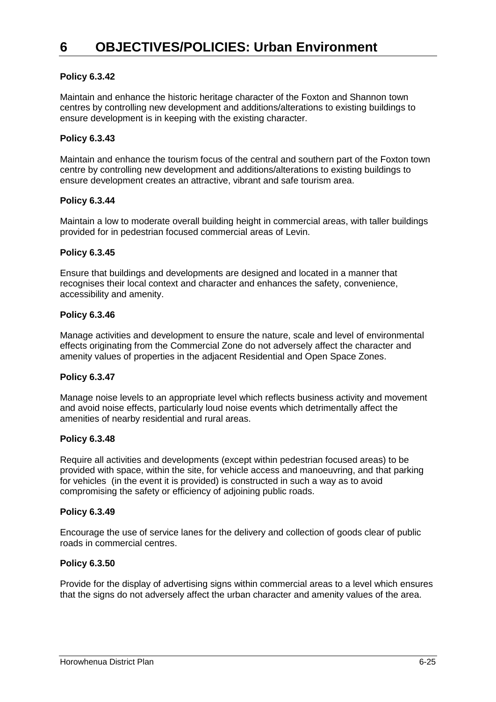#### **Policy 6.3.42**

Maintain and enhance the historic heritage character of the Foxton and Shannon town centres by controlling new development and additions/alterations to existing buildings to ensure development is in keeping with the existing character.

#### **Policy 6.3.43**

Maintain and enhance the tourism focus of the central and southern part of the Foxton town centre by controlling new development and additions/alterations to existing buildings to ensure development creates an attractive, vibrant and safe tourism area.

#### **Policy 6.3.44**

Maintain a low to moderate overall building height in commercial areas, with taller buildings provided for in pedestrian focused commercial areas of Levin.

#### **Policy 6.3.45**

Ensure that buildings and developments are designed and located in a manner that recognises their local context and character and enhances the safety, convenience, accessibility and amenity.

#### **Policy 6.3.46**

Manage activities and development to ensure the nature, scale and level of environmental effects originating from the Commercial Zone do not adversely affect the character and amenity values of properties in the adjacent Residential and Open Space Zones.

#### **Policy 6.3.47**

Manage noise levels to an appropriate level which reflects business activity and movement and avoid noise effects, particularly loud noise events which detrimentally affect the amenities of nearby residential and rural areas.

#### **Policy 6.3.48**

Require all activities and developments (except within pedestrian focused areas) to be provided with space, within the site, for vehicle access and manoeuvring, and that parking for vehicles (in the event it is provided) is constructed in such a way as to avoid compromising the safety or efficiency of adjoining public roads.

#### **Policy 6.3.49**

Encourage the use of service lanes for the delivery and collection of goods clear of public roads in commercial centres.

#### **Policy 6.3.50**

Provide for the display of advertising signs within commercial areas to a level which ensures that the signs do not adversely affect the urban character and amenity values of the area.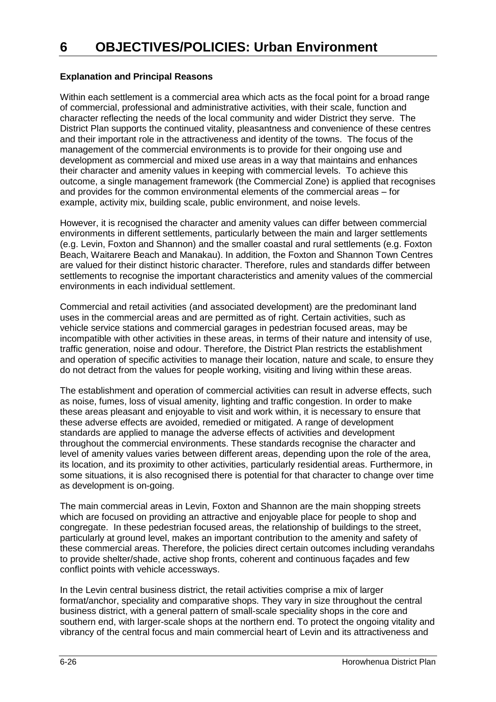#### **Explanation and Principal Reasons**

Within each settlement is a commercial area which acts as the focal point for a broad range of commercial, professional and administrative activities, with their scale, function and character reflecting the needs of the local community and wider District they serve. The District Plan supports the continued vitality, pleasantness and convenience of these centres and their important role in the attractiveness and identity of the towns. The focus of the management of the commercial environments is to provide for their ongoing use and development as commercial and mixed use areas in a way that maintains and enhances their character and amenity values in keeping with commercial levels. To achieve this outcome, a single management framework (the Commercial Zone) is applied that recognises and provides for the common environmental elements of the commercial areas – for example, activity mix, building scale, public environment, and noise levels.

However, it is recognised the character and amenity values can differ between commercial environments in different settlements, particularly between the main and larger settlements (e.g. Levin, Foxton and Shannon) and the smaller coastal and rural settlements (e.g. Foxton Beach, Waitarere Beach and Manakau). In addition, the Foxton and Shannon Town Centres are valued for their distinct historic character. Therefore, rules and standards differ between settlements to recognise the important characteristics and amenity values of the commercial environments in each individual settlement.

Commercial and retail activities (and associated development) are the predominant land uses in the commercial areas and are permitted as of right. Certain activities, such as vehicle service stations and commercial garages in pedestrian focused areas, may be incompatible with other activities in these areas, in terms of their nature and intensity of use, traffic generation, noise and odour. Therefore, the District Plan restricts the establishment and operation of specific activities to manage their location, nature and scale, to ensure they do not detract from the values for people working, visiting and living within these areas.

The establishment and operation of commercial activities can result in adverse effects, such as noise, fumes, loss of visual amenity, lighting and traffic congestion. In order to make these areas pleasant and enjoyable to visit and work within, it is necessary to ensure that these adverse effects are avoided, remedied or mitigated. A range of development standards are applied to manage the adverse effects of activities and development throughout the commercial environments. These standards recognise the character and level of amenity values varies between different areas, depending upon the role of the area, its location, and its proximity to other activities, particularly residential areas. Furthermore, in some situations, it is also recognised there is potential for that character to change over time as development is on-going.

The main commercial areas in Levin, Foxton and Shannon are the main shopping streets which are focused on providing an attractive and enjoyable place for people to shop and congregate. In these pedestrian focused areas, the relationship of buildings to the street, particularly at ground level, makes an important contribution to the amenity and safety of these commercial areas. Therefore, the policies direct certain outcomes including verandahs to provide shelter/shade, active shop fronts, coherent and continuous façades and few conflict points with vehicle accessways.

In the Levin central business district, the retail activities comprise a mix of larger format/anchor, speciality and comparative shops. They vary in size throughout the central business district, with a general pattern of small-scale speciality shops in the core and southern end, with larger-scale shops at the northern end. To protect the ongoing vitality and vibrancy of the central focus and main commercial heart of Levin and its attractiveness and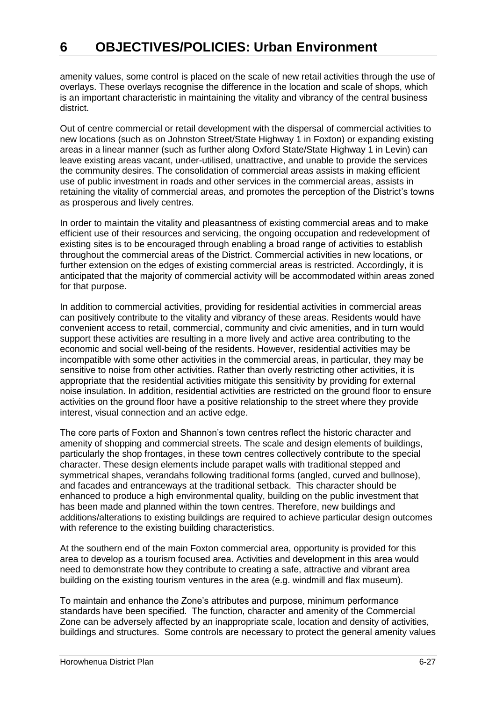amenity values, some control is placed on the scale of new retail activities through the use of overlays. These overlays recognise the difference in the location and scale of shops, which is an important characteristic in maintaining the vitality and vibrancy of the central business district.

Out of centre commercial or retail development with the dispersal of commercial activities to new locations (such as on Johnston Street/State Highway 1 in Foxton) or expanding existing areas in a linear manner (such as further along Oxford State/State Highway 1 in Levin) can leave existing areas vacant, under-utilised, unattractive, and unable to provide the services the community desires. The consolidation of commercial areas assists in making efficient use of public investment in roads and other services in the commercial areas, assists in retaining the vitality of commercial areas, and promotes the perception of the District's towns as prosperous and lively centres.

In order to maintain the vitality and pleasantness of existing commercial areas and to make efficient use of their resources and servicing, the ongoing occupation and redevelopment of existing sites is to be encouraged through enabling a broad range of activities to establish throughout the commercial areas of the District. Commercial activities in new locations, or further extension on the edges of existing commercial areas is restricted. Accordingly, it is anticipated that the majority of commercial activity will be accommodated within areas zoned for that purpose.

In addition to commercial activities, providing for residential activities in commercial areas can positively contribute to the vitality and vibrancy of these areas. Residents would have convenient access to retail, commercial, community and civic amenities, and in turn would support these activities are resulting in a more lively and active area contributing to the economic and social well-being of the residents. However, residential activities may be incompatible with some other activities in the commercial areas, in particular, they may be sensitive to noise from other activities. Rather than overly restricting other activities, it is appropriate that the residential activities mitigate this sensitivity by providing for external noise insulation. In addition, residential activities are restricted on the ground floor to ensure activities on the ground floor have a positive relationship to the street where they provide interest, visual connection and an active edge.

The core parts of Foxton and Shannon's town centres reflect the historic character and amenity of shopping and commercial streets. The scale and design elements of buildings, particularly the shop frontages, in these town centres collectively contribute to the special character. These design elements include parapet walls with traditional stepped and symmetrical shapes, verandahs following traditional forms (angled, curved and bullnose), and facades and entranceways at the traditional setback. This character should be enhanced to produce a high environmental quality, building on the public investment that has been made and planned within the town centres. Therefore, new buildings and additions/alterations to existing buildings are required to achieve particular design outcomes with reference to the existing building characteristics.

At the southern end of the main Foxton commercial area, opportunity is provided for this area to develop as a tourism focused area. Activities and development in this area would need to demonstrate how they contribute to creating a safe, attractive and vibrant area building on the existing tourism ventures in the area (e.g. windmill and flax museum).

To maintain and enhance the Zone's attributes and purpose, minimum performance standards have been specified. The function, character and amenity of the Commercial Zone can be adversely affected by an inappropriate scale, location and density of activities, buildings and structures. Some controls are necessary to protect the general amenity values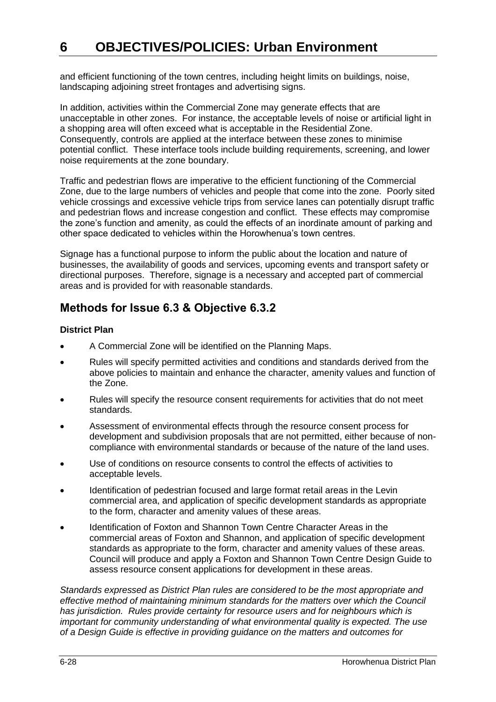and efficient functioning of the town centres, including height limits on buildings, noise, landscaping adjoining street frontages and advertising signs.

In addition, activities within the Commercial Zone may generate effects that are unacceptable in other zones. For instance, the acceptable levels of noise or artificial light in a shopping area will often exceed what is acceptable in the Residential Zone. Consequently, controls are applied at the interface between these zones to minimise potential conflict. These interface tools include building requirements, screening, and lower noise requirements at the zone boundary.

Traffic and pedestrian flows are imperative to the efficient functioning of the Commercial Zone, due to the large numbers of vehicles and people that come into the zone. Poorly sited vehicle crossings and excessive vehicle trips from service lanes can potentially disrupt traffic and pedestrian flows and increase congestion and conflict. These effects may compromise the zone's function and amenity, as could the effects of an inordinate amount of parking and other space dedicated to vehicles within the Horowhenua's town centres.

Signage has a functional purpose to inform the public about the location and nature of businesses, the availability of goods and services, upcoming events and transport safety or directional purposes. Therefore, signage is a necessary and accepted part of commercial areas and is provided for with reasonable standards.

### **Methods for Issue 6.3 & Objective 6.3.2**

#### **District Plan**

- A Commercial Zone will be identified on the Planning Maps.
- Rules will specify permitted activities and conditions and standards derived from the above policies to maintain and enhance the character, amenity values and function of the Zone.
- Rules will specify the resource consent requirements for activities that do not meet standards.
- Assessment of environmental effects through the resource consent process for development and subdivision proposals that are not permitted, either because of noncompliance with environmental standards or because of the nature of the land uses.
- Use of conditions on resource consents to control the effects of activities to acceptable levels.
- Identification of pedestrian focused and large format retail areas in the Levin commercial area, and application of specific development standards as appropriate to the form, character and amenity values of these areas.
- Identification of Foxton and Shannon Town Centre Character Areas in the commercial areas of Foxton and Shannon, and application of specific development standards as appropriate to the form, character and amenity values of these areas. Council will produce and apply a Foxton and Shannon Town Centre Design Guide to assess resource consent applications for development in these areas.

*Standards expressed as District Plan rules are considered to be the most appropriate and effective method of maintaining minimum standards for the matters over which the Council has jurisdiction. Rules provide certainty for resource users and for neighbours which is important for community understanding of what environmental quality is expected. The use of a Design Guide is effective in providing guidance on the matters and outcomes for*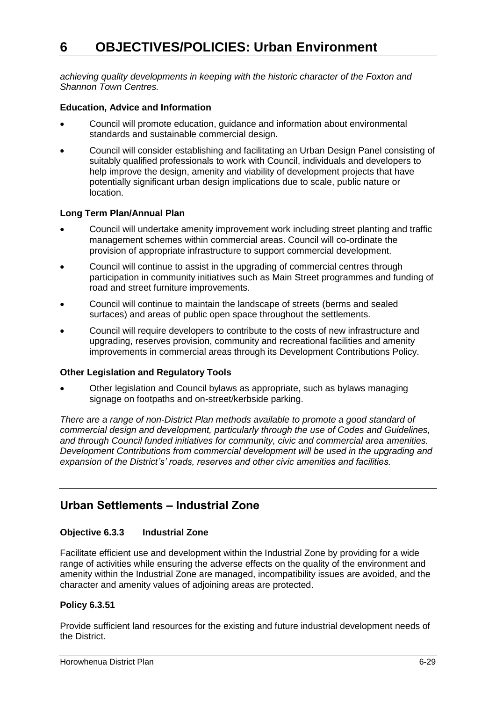*achieving quality developments in keeping with the historic character of the Foxton and Shannon Town Centres.*

#### **Education, Advice and Information**

- Council will promote education, guidance and information about environmental standards and sustainable commercial design.
- Council will consider establishing and facilitating an Urban Design Panel consisting of suitably qualified professionals to work with Council, individuals and developers to help improve the design, amenity and viability of development projects that have potentially significant urban design implications due to scale, public nature or location.

#### **Long Term Plan/Annual Plan**

- Council will undertake amenity improvement work including street planting and traffic management schemes within commercial areas. Council will co-ordinate the provision of appropriate infrastructure to support commercial development.
- Council will continue to assist in the upgrading of commercial centres through participation in community initiatives such as Main Street programmes and funding of road and street furniture improvements.
- Council will continue to maintain the landscape of streets (berms and sealed surfaces) and areas of public open space throughout the settlements.
- Council will require developers to contribute to the costs of new infrastructure and upgrading, reserves provision, community and recreational facilities and amenity improvements in commercial areas through its Development Contributions Policy.

#### **Other Legislation and Regulatory Tools**

 Other legislation and Council bylaws as appropriate, such as bylaws managing signage on footpaths and on-street/kerbside parking.

*There are a range of non-District Plan methods available to promote a good standard of commercial design and development, particularly through the use of Codes and Guidelines, and through Council funded initiatives for community, civic and commercial area amenities. Development Contributions from commercial development will be used in the upgrading and expansion of the District's' roads, reserves and other civic amenities and facilities.*

### **Urban Settlements – Industrial Zone**

#### **Objective 6.3.3 Industrial Zone**

Facilitate efficient use and development within the Industrial Zone by providing for a wide range of activities while ensuring the adverse effects on the quality of the environment and amenity within the Industrial Zone are managed, incompatibility issues are avoided, and the character and amenity values of adjoining areas are protected.

#### **Policy 6.3.51**

Provide sufficient land resources for the existing and future industrial development needs of the District.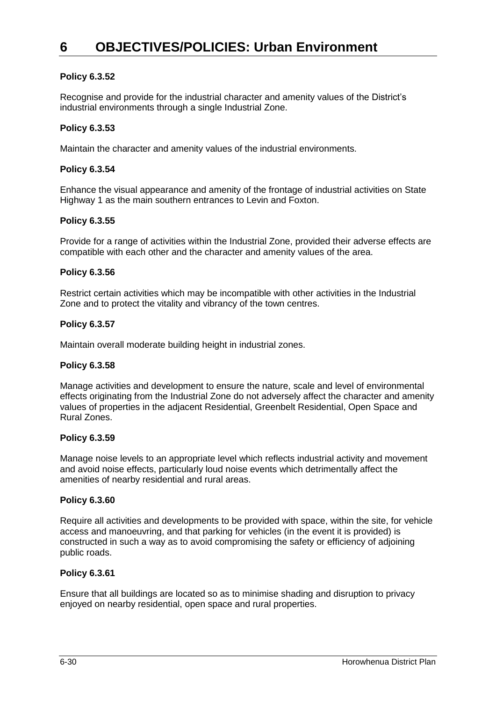#### **Policy 6.3.52**

Recognise and provide for the industrial character and amenity values of the District's industrial environments through a single Industrial Zone.

#### **Policy 6.3.53**

Maintain the character and amenity values of the industrial environments.

#### **Policy 6.3.54**

Enhance the visual appearance and amenity of the frontage of industrial activities on State Highway 1 as the main southern entrances to Levin and Foxton.

#### **Policy 6.3.55**

Provide for a range of activities within the Industrial Zone, provided their adverse effects are compatible with each other and the character and amenity values of the area.

#### **Policy 6.3.56**

Restrict certain activities which may be incompatible with other activities in the Industrial Zone and to protect the vitality and vibrancy of the town centres.

#### **Policy 6.3.57**

Maintain overall moderate building height in industrial zones.

#### **Policy 6.3.58**

Manage activities and development to ensure the nature, scale and level of environmental effects originating from the Industrial Zone do not adversely affect the character and amenity values of properties in the adjacent Residential, Greenbelt Residential, Open Space and Rural Zones.

#### **Policy 6.3.59**

Manage noise levels to an appropriate level which reflects industrial activity and movement and avoid noise effects, particularly loud noise events which detrimentally affect the amenities of nearby residential and rural areas.

#### **Policy 6.3.60**

Require all activities and developments to be provided with space, within the site, for vehicle access and manoeuvring, and that parking for vehicles (in the event it is provided) is constructed in such a way as to avoid compromising the safety or efficiency of adjoining public roads.

#### **Policy 6.3.61**

Ensure that all buildings are located so as to minimise shading and disruption to privacy enjoyed on nearby residential, open space and rural properties.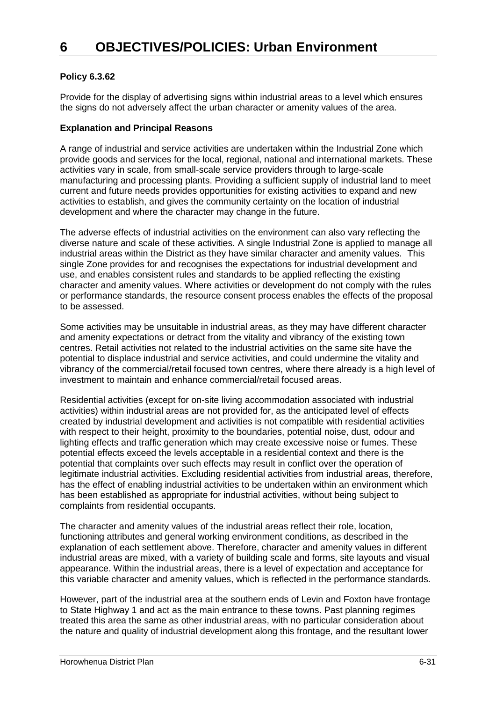#### **Policy 6.3.62**

Provide for the display of advertising signs within industrial areas to a level which ensures the signs do not adversely affect the urban character or amenity values of the area.

#### **Explanation and Principal Reasons**

A range of industrial and service activities are undertaken within the Industrial Zone which provide goods and services for the local, regional, national and international markets. These activities vary in scale, from small-scale service providers through to large-scale manufacturing and processing plants. Providing a sufficient supply of industrial land to meet current and future needs provides opportunities for existing activities to expand and new activities to establish, and gives the community certainty on the location of industrial development and where the character may change in the future.

The adverse effects of industrial activities on the environment can also vary reflecting the diverse nature and scale of these activities. A single Industrial Zone is applied to manage all industrial areas within the District as they have similar character and amenity values. This single Zone provides for and recognises the expectations for industrial development and use, and enables consistent rules and standards to be applied reflecting the existing character and amenity values. Where activities or development do not comply with the rules or performance standards, the resource consent process enables the effects of the proposal to be assessed.

Some activities may be unsuitable in industrial areas, as they may have different character and amenity expectations or detract from the vitality and vibrancy of the existing town centres. Retail activities not related to the industrial activities on the same site have the potential to displace industrial and service activities, and could undermine the vitality and vibrancy of the commercial/retail focused town centres, where there already is a high level of investment to maintain and enhance commercial/retail focused areas.

Residential activities (except for on-site living accommodation associated with industrial activities) within industrial areas are not provided for, as the anticipated level of effects created by industrial development and activities is not compatible with residential activities with respect to their height, proximity to the boundaries, potential noise, dust, odour and lighting effects and traffic generation which may create excessive noise or fumes. These potential effects exceed the levels acceptable in a residential context and there is the potential that complaints over such effects may result in conflict over the operation of legitimate industrial activities. Excluding residential activities from industrial areas, therefore, has the effect of enabling industrial activities to be undertaken within an environment which has been established as appropriate for industrial activities, without being subject to complaints from residential occupants.

The character and amenity values of the industrial areas reflect their role, location, functioning attributes and general working environment conditions, as described in the explanation of each settlement above. Therefore, character and amenity values in different industrial areas are mixed, with a variety of building scale and forms, site layouts and visual appearance. Within the industrial areas, there is a level of expectation and acceptance for this variable character and amenity values, which is reflected in the performance standards.

However, part of the industrial area at the southern ends of Levin and Foxton have frontage to State Highway 1 and act as the main entrance to these towns. Past planning regimes treated this area the same as other industrial areas, with no particular consideration about the nature and quality of industrial development along this frontage, and the resultant lower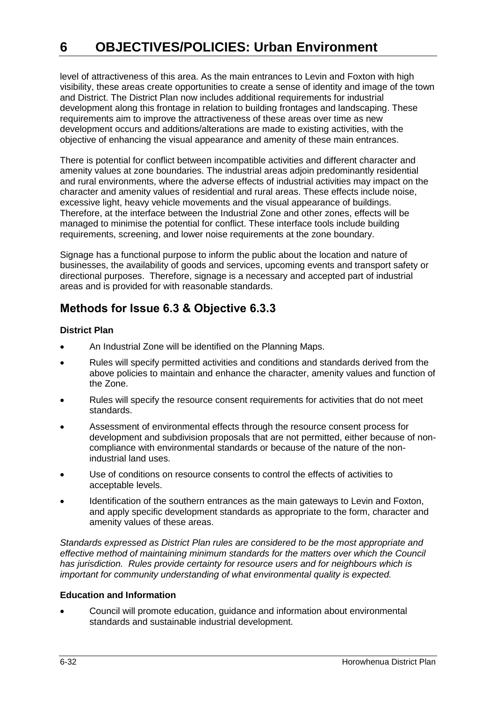level of attractiveness of this area. As the main entrances to Levin and Foxton with high visibility, these areas create opportunities to create a sense of identity and image of the town and District. The District Plan now includes additional requirements for industrial development along this frontage in relation to building frontages and landscaping. These requirements aim to improve the attractiveness of these areas over time as new development occurs and additions/alterations are made to existing activities, with the objective of enhancing the visual appearance and amenity of these main entrances.

There is potential for conflict between incompatible activities and different character and amenity values at zone boundaries. The industrial areas adjoin predominantly residential and rural environments, where the adverse effects of industrial activities may impact on the character and amenity values of residential and rural areas. These effects include noise, excessive light, heavy vehicle movements and the visual appearance of buildings. Therefore, at the interface between the Industrial Zone and other zones, effects will be managed to minimise the potential for conflict. These interface tools include building requirements, screening, and lower noise requirements at the zone boundary.

Signage has a functional purpose to inform the public about the location and nature of businesses, the availability of goods and services, upcoming events and transport safety or directional purposes. Therefore, signage is a necessary and accepted part of industrial areas and is provided for with reasonable standards.

### **Methods for Issue 6.3 & Objective 6.3.3**

#### **District Plan**

- An Industrial Zone will be identified on the Planning Maps.
- Rules will specify permitted activities and conditions and standards derived from the above policies to maintain and enhance the character, amenity values and function of the Zone.
- Rules will specify the resource consent requirements for activities that do not meet standards.
- Assessment of environmental effects through the resource consent process for development and subdivision proposals that are not permitted, either because of noncompliance with environmental standards or because of the nature of the nonindustrial land uses.
- Use of conditions on resource consents to control the effects of activities to acceptable levels.
- Identification of the southern entrances as the main gateways to Levin and Foxton, and apply specific development standards as appropriate to the form, character and amenity values of these areas.

*Standards expressed as District Plan rules are considered to be the most appropriate and effective method of maintaining minimum standards for the matters over which the Council has jurisdiction. Rules provide certainty for resource users and for neighbours which is important for community understanding of what environmental quality is expected.* 

#### **Education and Information**

 Council will promote education, guidance and information about environmental standards and sustainable industrial development.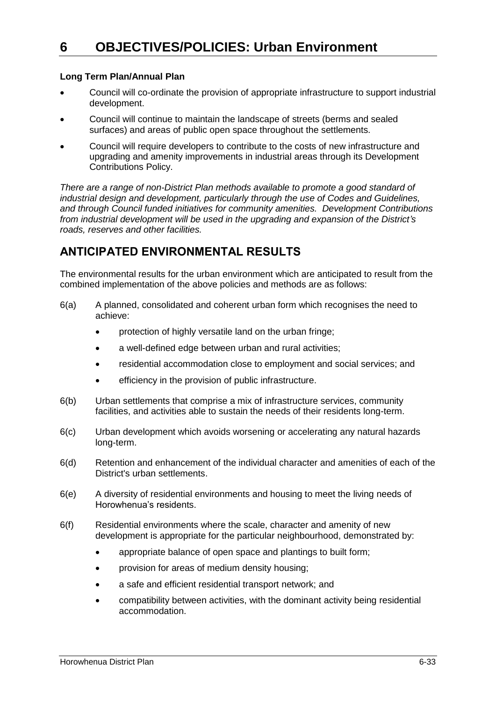#### **Long Term Plan/Annual Plan**

- Council will co-ordinate the provision of appropriate infrastructure to support industrial development.
- Council will continue to maintain the landscape of streets (berms and sealed surfaces) and areas of public open space throughout the settlements.
- Council will require developers to contribute to the costs of new infrastructure and upgrading and amenity improvements in industrial areas through its Development Contributions Policy.

*There are a range of non-District Plan methods available to promote a good standard of industrial design and development, particularly through the use of Codes and Guidelines, and through Council funded initiatives for community amenities. Development Contributions from industrial development will be used in the upgrading and expansion of the District's roads, reserves and other facilities.*

### **ANTICIPATED ENVIRONMENTAL RESULTS**

The environmental results for the urban environment which are anticipated to result from the combined implementation of the above policies and methods are as follows:

- 6(a) A planned, consolidated and coherent urban form which recognises the need to achieve:
	- protection of highly versatile land on the urban fringe;
	- a well-defined edge between urban and rural activities;
	- residential accommodation close to employment and social services; and
	- efficiency in the provision of public infrastructure.
- 6(b) Urban settlements that comprise a mix of infrastructure services, community facilities, and activities able to sustain the needs of their residents long-term.
- 6(c) Urban development which avoids worsening or accelerating any natural hazards long-term.
- 6(d) Retention and enhancement of the individual character and amenities of each of the District's urban settlements.
- 6(e) A diversity of residential environments and housing to meet the living needs of Horowhenua's residents.
- 6(f) Residential environments where the scale, character and amenity of new development is appropriate for the particular neighbourhood, demonstrated by:
	- appropriate balance of open space and plantings to built form;
	- provision for areas of medium density housing;
	- a safe and efficient residential transport network; and
	- compatibility between activities, with the dominant activity being residential accommodation.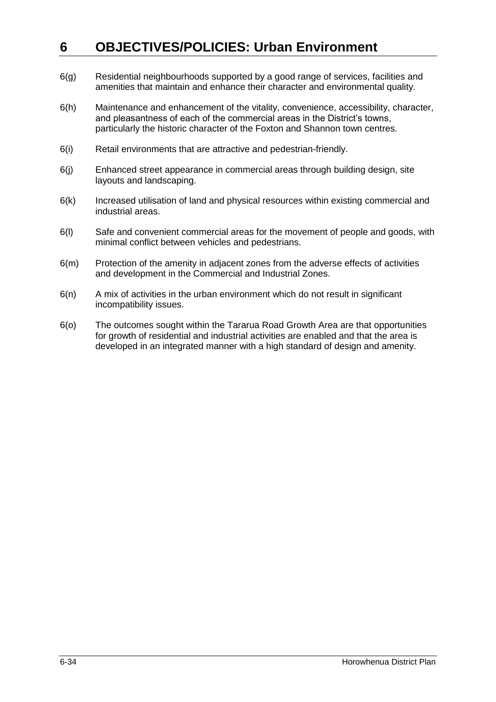- 6(g) Residential neighbourhoods supported by a good range of services, facilities and amenities that maintain and enhance their character and environmental quality.
- 6(h) Maintenance and enhancement of the vitality, convenience, accessibility, character, and pleasantness of each of the commercial areas in the District's towns, particularly the historic character of the Foxton and Shannon town centres.
- 6(i) Retail environments that are attractive and pedestrian-friendly.
- 6(j) Enhanced street appearance in commercial areas through building design, site layouts and landscaping.
- 6(k) Increased utilisation of land and physical resources within existing commercial and industrial areas.
- 6(l) Safe and convenient commercial areas for the movement of people and goods, with minimal conflict between vehicles and pedestrians.
- 6(m) Protection of the amenity in adjacent zones from the adverse effects of activities and development in the Commercial and Industrial Zones.
- 6(n) A mix of activities in the urban environment which do not result in significant incompatibility issues.
- 6(o) The outcomes sought within the Tararua Road Growth Area are that opportunities for growth of residential and industrial activities are enabled and that the area is developed in an integrated manner with a high standard of design and amenity.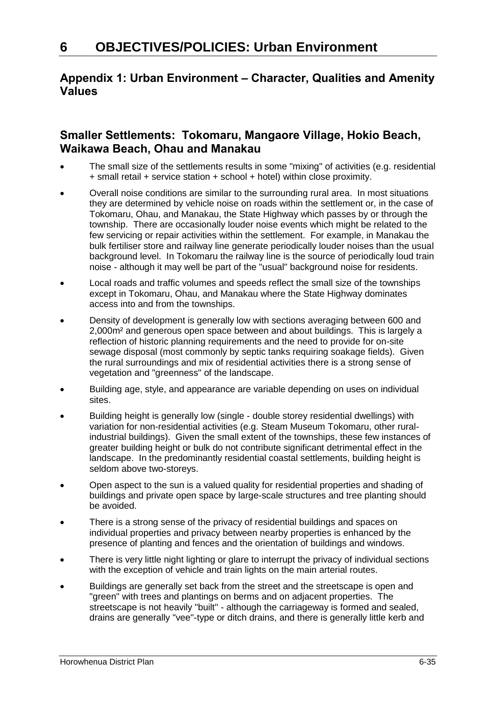### **Appendix 1: Urban Environment – Character, Qualities and Amenity Values**

### **Smaller Settlements: Tokomaru, Mangaore Village, Hokio Beach, Waikawa Beach, Ohau and Manakau**

- The small size of the settlements results in some "mixing" of activities (e.g. residential + small retail + service station + school + hotel) within close proximity.
- Overall noise conditions are similar to the surrounding rural area. In most situations they are determined by vehicle noise on roads within the settlement or, in the case of Tokomaru, Ohau, and Manakau, the State Highway which passes by or through the township. There are occasionally louder noise events which might be related to the few servicing or repair activities within the settlement. For example, in Manakau the bulk fertiliser store and railway line generate periodically louder noises than the usual background level. In Tokomaru the railway line is the source of periodically loud train noise - although it may well be part of the "usual" background noise for residents.
- Local roads and traffic volumes and speeds reflect the small size of the townships except in Tokomaru, Ohau, and Manakau where the State Highway dominates access into and from the townships.
- Density of development is generally low with sections averaging between 600 and 2,000m² and generous open space between and about buildings. This is largely a reflection of historic planning requirements and the need to provide for on-site sewage disposal (most commonly by septic tanks requiring soakage fields). Given the rural surroundings and mix of residential activities there is a strong sense of vegetation and "greenness" of the landscape.
- Building age, style, and appearance are variable depending on uses on individual sites.
- Building height is generally low (single double storey residential dwellings) with variation for non-residential activities (e.g. Steam Museum Tokomaru, other ruralindustrial buildings). Given the small extent of the townships, these few instances of greater building height or bulk do not contribute significant detrimental effect in the landscape. In the predominantly residential coastal settlements, building height is seldom above two-storeys.
- Open aspect to the sun is a valued quality for residential properties and shading of buildings and private open space by large-scale structures and tree planting should be avoided.
- There is a strong sense of the privacy of residential buildings and spaces on individual properties and privacy between nearby properties is enhanced by the presence of planting and fences and the orientation of buildings and windows.
- There is very little night lighting or glare to interrupt the privacy of individual sections with the exception of vehicle and train lights on the main arterial routes.
- Buildings are generally set back from the street and the streetscape is open and "green" with trees and plantings on berms and on adjacent properties. The streetscape is not heavily "built" - although the carriageway is formed and sealed, drains are generally "vee"-type or ditch drains, and there is generally little kerb and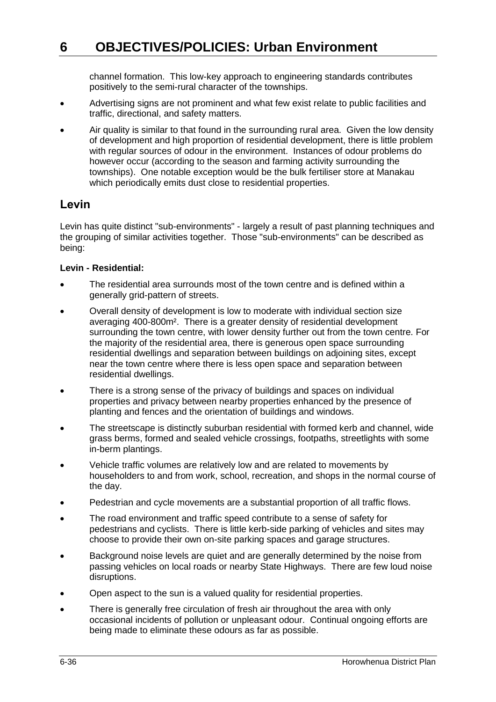channel formation. This low-key approach to engineering standards contributes positively to the semi-rural character of the townships.

- Advertising signs are not prominent and what few exist relate to public facilities and traffic, directional, and safety matters.
- Air quality is similar to that found in the surrounding rural area. Given the low density of development and high proportion of residential development, there is little problem with regular sources of odour in the environment. Instances of odour problems do however occur (according to the season and farming activity surrounding the townships). One notable exception would be the bulk fertiliser store at Manakau which periodically emits dust close to residential properties.

### **Levin**

Levin has quite distinct "sub-environments" - largely a result of past planning techniques and the grouping of similar activities together. Those "sub-environments" can be described as being:

#### **Levin - Residential:**

- The residential area surrounds most of the town centre and is defined within a generally grid-pattern of streets.
- Overall density of development is low to moderate with individual section size averaging 400-800m². There is a greater density of residential development surrounding the town centre, with lower density further out from the town centre. For the majority of the residential area, there is generous open space surrounding residential dwellings and separation between buildings on adjoining sites, except near the town centre where there is less open space and separation between residential dwellings.
- There is a strong sense of the privacy of buildings and spaces on individual properties and privacy between nearby properties enhanced by the presence of planting and fences and the orientation of buildings and windows.
- The streetscape is distinctly suburban residential with formed kerb and channel, wide grass berms, formed and sealed vehicle crossings, footpaths, streetlights with some in-berm plantings.
- Vehicle traffic volumes are relatively low and are related to movements by householders to and from work, school, recreation, and shops in the normal course of the day.
- Pedestrian and cycle movements are a substantial proportion of all traffic flows.
- The road environment and traffic speed contribute to a sense of safety for pedestrians and cyclists. There is little kerb-side parking of vehicles and sites may choose to provide their own on-site parking spaces and garage structures.
- Background noise levels are quiet and are generally determined by the noise from passing vehicles on local roads or nearby State Highways. There are few loud noise disruptions.
- Open aspect to the sun is a valued quality for residential properties.
- There is generally free circulation of fresh air throughout the area with only occasional incidents of pollution or unpleasant odour. Continual ongoing efforts are being made to eliminate these odours as far as possible.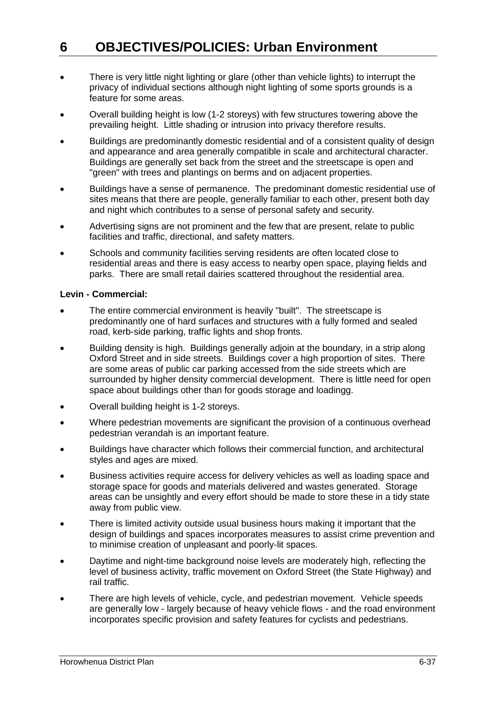- There is very little night lighting or glare (other than vehicle lights) to interrupt the privacy of individual sections although night lighting of some sports grounds is a feature for some areas.
- Overall building height is low (1-2 storeys) with few structures towering above the prevailing height. Little shading or intrusion into privacy therefore results.
- Buildings are predominantly domestic residential and of a consistent quality of design and appearance and area generally compatible in scale and architectural character. Buildings are generally set back from the street and the streetscape is open and "green" with trees and plantings on berms and on adjacent properties.
- Buildings have a sense of permanence. The predominant domestic residential use of sites means that there are people, generally familiar to each other, present both day and night which contributes to a sense of personal safety and security.
- Advertising signs are not prominent and the few that are present, relate to public facilities and traffic, directional, and safety matters.
- Schools and community facilities serving residents are often located close to residential areas and there is easy access to nearby open space, playing fields and parks. There are small retail dairies scattered throughout the residential area.

#### **Levin - Commercial:**

- The entire commercial environment is heavily "built". The streetscape is predominantly one of hard surfaces and structures with a fully formed and sealed road, kerb-side parking, traffic lights and shop fronts.
- Building density is high. Buildings generally adjoin at the boundary, in a strip along Oxford Street and in side streets. Buildings cover a high proportion of sites. There are some areas of public car parking accessed from the side streets which are surrounded by higher density commercial development. There is little need for open space about buildings other than for goods storage and loadingg.
- Overall building height is 1-2 storeys.
- Where pedestrian movements are significant the provision of a continuous overhead pedestrian verandah is an important feature.
- Buildings have character which follows their commercial function, and architectural styles and ages are mixed.
- Business activities require access for delivery vehicles as well as loading space and storage space for goods and materials delivered and wastes generated. Storage areas can be unsightly and every effort should be made to store these in a tidy state away from public view.
- There is limited activity outside usual business hours making it important that the design of buildings and spaces incorporates measures to assist crime prevention and to minimise creation of unpleasant and poorly-lit spaces.
- Daytime and night-time background noise levels are moderately high, reflecting the level of business activity, traffic movement on Oxford Street (the State Highway) and rail traffic.
- There are high levels of vehicle, cycle, and pedestrian movement. Vehicle speeds are generally low - largely because of heavy vehicle flows - and the road environment incorporates specific provision and safety features for cyclists and pedestrians.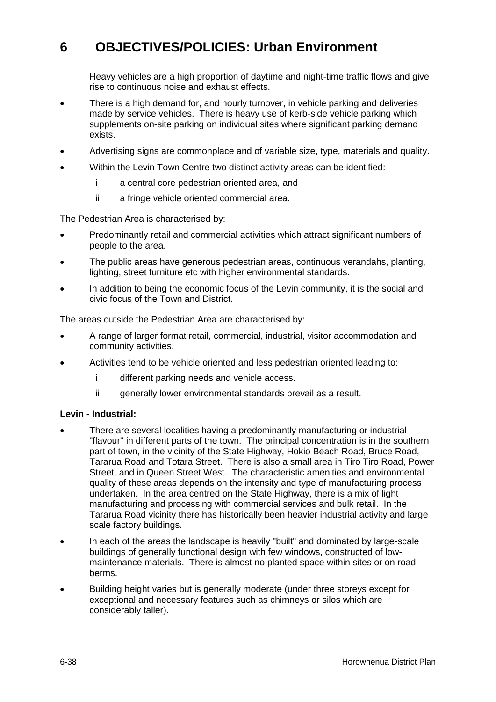Heavy vehicles are a high proportion of daytime and night-time traffic flows and give rise to continuous noise and exhaust effects.

- There is a high demand for, and hourly turnover, in vehicle parking and deliveries made by service vehicles. There is heavy use of kerb-side vehicle parking which supplements on-site parking on individual sites where significant parking demand exists.
- Advertising signs are commonplace and of variable size, type, materials and quality.
- Within the Levin Town Centre two distinct activity areas can be identified:
	- i a central core pedestrian oriented area, and
	- ii a fringe vehicle oriented commercial area.

The Pedestrian Area is characterised by:

- Predominantly retail and commercial activities which attract significant numbers of people to the area.
- The public areas have generous pedestrian areas, continuous verandahs, planting, lighting, street furniture etc with higher environmental standards.
- In addition to being the economic focus of the Levin community, it is the social and civic focus of the Town and District.

The areas outside the Pedestrian Area are characterised by:

- A range of larger format retail, commercial, industrial, visitor accommodation and community activities.
- Activities tend to be vehicle oriented and less pedestrian oriented leading to:
	- i different parking needs and vehicle access.
	- ii generally lower environmental standards prevail as a result.

#### **Levin - Industrial:**

- There are several localities having a predominantly manufacturing or industrial "flavour" in different parts of the town. The principal concentration is in the southern part of town, in the vicinity of the State Highway, Hokio Beach Road, Bruce Road, Tararua Road and Totara Street. There is also a small area in Tiro Tiro Road, Power Street, and in Queen Street West. The characteristic amenities and environmental quality of these areas depends on the intensity and type of manufacturing process undertaken. In the area centred on the State Highway, there is a mix of light manufacturing and processing with commercial services and bulk retail. In the Tararua Road vicinity there has historically been heavier industrial activity and large scale factory buildings.
- In each of the areas the landscape is heavily "built" and dominated by large-scale buildings of generally functional design with few windows, constructed of lowmaintenance materials. There is almost no planted space within sites or on road berms.
- Building height varies but is generally moderate (under three storeys except for exceptional and necessary features such as chimneys or silos which are considerably taller).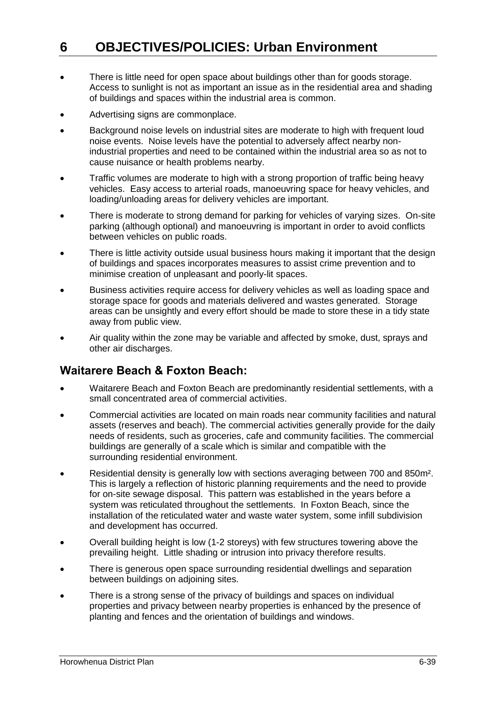- There is little need for open space about buildings other than for goods storage. Access to sunlight is not as important an issue as in the residential area and shading of buildings and spaces within the industrial area is common.
- Advertising signs are commonplace.
- Background noise levels on industrial sites are moderate to high with frequent loud noise events. Noise levels have the potential to adversely affect nearby nonindustrial properties and need to be contained within the industrial area so as not to cause nuisance or health problems nearby.
- Traffic volumes are moderate to high with a strong proportion of traffic being heavy vehicles. Easy access to arterial roads, manoeuvring space for heavy vehicles, and loading/unloading areas for delivery vehicles are important.
- There is moderate to strong demand for parking for vehicles of varying sizes. On-site parking (although optional) and manoeuvring is important in order to avoid conflicts between vehicles on public roads.
- There is little activity outside usual business hours making it important that the design of buildings and spaces incorporates measures to assist crime prevention and to minimise creation of unpleasant and poorly-lit spaces.
- Business activities require access for delivery vehicles as well as loading space and storage space for goods and materials delivered and wastes generated. Storage areas can be unsightly and every effort should be made to store these in a tidy state away from public view.
- Air quality within the zone may be variable and affected by smoke, dust, sprays and other air discharges.

### **Waitarere Beach & Foxton Beach:**

- Waitarere Beach and Foxton Beach are predominantly residential settlements, with a small concentrated area of commercial activities.
- Commercial activities are located on main roads near community facilities and natural assets (reserves and beach). The commercial activities generally provide for the daily needs of residents, such as groceries, cafe and community facilities. The commercial buildings are generally of a scale which is similar and compatible with the surrounding residential environment.
- Residential density is generally low with sections averaging between 700 and 850m². This is largely a reflection of historic planning requirements and the need to provide for on-site sewage disposal. This pattern was established in the years before a system was reticulated throughout the settlements. In Foxton Beach, since the installation of the reticulated water and waste water system, some infill subdivision and development has occurred.
- Overall building height is low (1-2 storeys) with few structures towering above the prevailing height. Little shading or intrusion into privacy therefore results.
- There is generous open space surrounding residential dwellings and separation between buildings on adjoining sites.
- There is a strong sense of the privacy of buildings and spaces on individual properties and privacy between nearby properties is enhanced by the presence of planting and fences and the orientation of buildings and windows.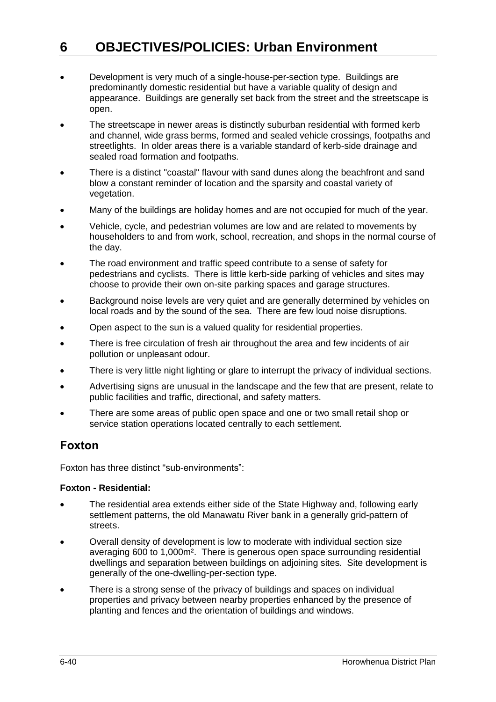- Development is very much of a single-house-per-section type. Buildings are predominantly domestic residential but have a variable quality of design and appearance. Buildings are generally set back from the street and the streetscape is open.
- The streetscape in newer areas is distinctly suburban residential with formed kerb and channel, wide grass berms, formed and sealed vehicle crossings, footpaths and streetlights. In older areas there is a variable standard of kerb-side drainage and sealed road formation and footpaths.
- There is a distinct "coastal" flavour with sand dunes along the beachfront and sand blow a constant reminder of location and the sparsity and coastal variety of vegetation.
- Many of the buildings are holiday homes and are not occupied for much of the year.
- Vehicle, cycle, and pedestrian volumes are low and are related to movements by householders to and from work, school, recreation, and shops in the normal course of the day.
- The road environment and traffic speed contribute to a sense of safety for pedestrians and cyclists. There is little kerb-side parking of vehicles and sites may choose to provide their own on-site parking spaces and garage structures.
- Background noise levels are very quiet and are generally determined by vehicles on local roads and by the sound of the sea. There are few loud noise disruptions.
- Open aspect to the sun is a valued quality for residential properties.
- There is free circulation of fresh air throughout the area and few incidents of air pollution or unpleasant odour.
- There is very little night lighting or glare to interrupt the privacy of individual sections.
- Advertising signs are unusual in the landscape and the few that are present, relate to public facilities and traffic, directional, and safety matters.
- There are some areas of public open space and one or two small retail shop or service station operations located centrally to each settlement.

### **Foxton**

Foxton has three distinct "sub-environments":

#### **Foxton - Residential:**

- The residential area extends either side of the State Highway and, following early settlement patterns, the old Manawatu River bank in a generally grid-pattern of **streets**
- Overall density of development is low to moderate with individual section size averaging 600 to 1,000m². There is generous open space surrounding residential dwellings and separation between buildings on adjoining sites. Site development is generally of the one-dwelling-per-section type.
- There is a strong sense of the privacy of buildings and spaces on individual properties and privacy between nearby properties enhanced by the presence of planting and fences and the orientation of buildings and windows.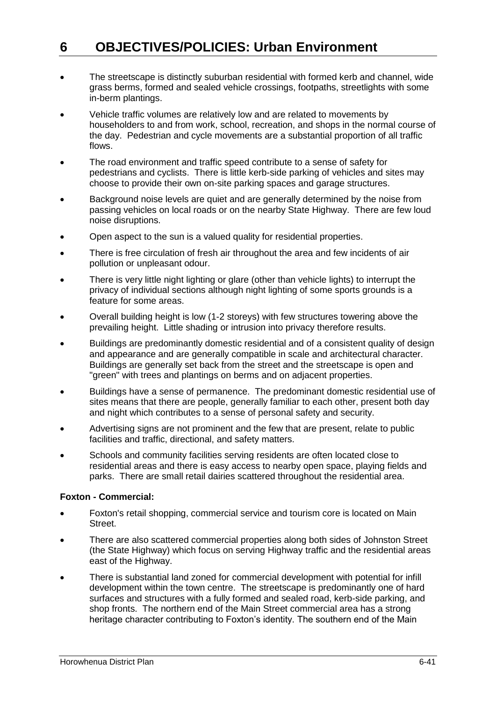- The streetscape is distinctly suburban residential with formed kerb and channel, wide grass berms, formed and sealed vehicle crossings, footpaths, streetlights with some in-berm plantings.
- Vehicle traffic volumes are relatively low and are related to movements by householders to and from work, school, recreation, and shops in the normal course of the day. Pedestrian and cycle movements are a substantial proportion of all traffic flows.
- The road environment and traffic speed contribute to a sense of safety for pedestrians and cyclists. There is little kerb-side parking of vehicles and sites may choose to provide their own on-site parking spaces and garage structures.
- Background noise levels are quiet and are generally determined by the noise from passing vehicles on local roads or on the nearby State Highway. There are few loud noise disruptions.
- Open aspect to the sun is a valued quality for residential properties.
- There is free circulation of fresh air throughout the area and few incidents of air pollution or unpleasant odour.
- There is very little night lighting or glare (other than vehicle lights) to interrupt the privacy of individual sections although night lighting of some sports grounds is a feature for some areas.
- Overall building height is low (1-2 storeys) with few structures towering above the prevailing height. Little shading or intrusion into privacy therefore results.
- Buildings are predominantly domestic residential and of a consistent quality of design and appearance and are generally compatible in scale and architectural character. Buildings are generally set back from the street and the streetscape is open and "green" with trees and plantings on berms and on adjacent properties.
- Buildings have a sense of permanence. The predominant domestic residential use of sites means that there are people, generally familiar to each other, present both day and night which contributes to a sense of personal safety and security.
- Advertising signs are not prominent and the few that are present, relate to public facilities and traffic, directional, and safety matters.
- Schools and community facilities serving residents are often located close to residential areas and there is easy access to nearby open space, playing fields and parks. There are small retail dairies scattered throughout the residential area.

#### **Foxton - Commercial:**

- Foxton's retail shopping, commercial service and tourism core is located on Main Street.
- There are also scattered commercial properties along both sides of Johnston Street (the State Highway) which focus on serving Highway traffic and the residential areas east of the Highway.
- There is substantial land zoned for commercial development with potential for infill development within the town centre. The streetscape is predominantly one of hard surfaces and structures with a fully formed and sealed road, kerb-side parking, and shop fronts. The northern end of the Main Street commercial area has a strong heritage character contributing to Foxton's identity. The southern end of the Main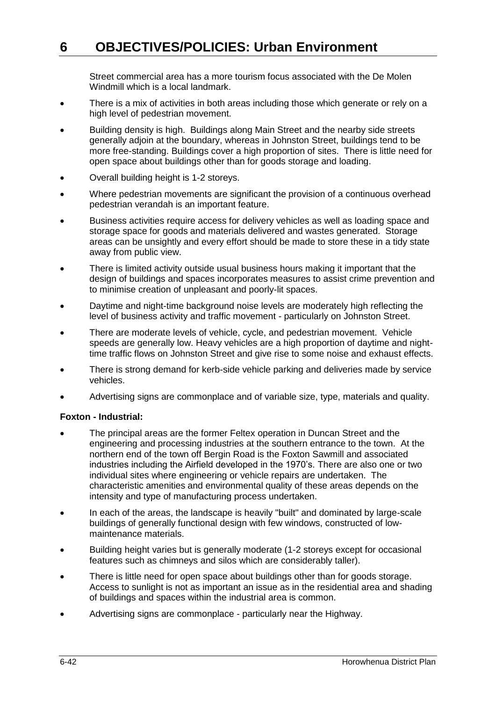Street commercial area has a more tourism focus associated with the De Molen Windmill which is a local landmark.

- There is a mix of activities in both areas including those which generate or rely on a high level of pedestrian movement.
- Building density is high. Buildings along Main Street and the nearby side streets generally adjoin at the boundary, whereas in Johnston Street, buildings tend to be more free-standing. Buildings cover a high proportion of sites. There is little need for open space about buildings other than for goods storage and loading.
- Overall building height is 1-2 storeys.
- Where pedestrian movements are significant the provision of a continuous overhead pedestrian verandah is an important feature.
- Business activities require access for delivery vehicles as well as loading space and storage space for goods and materials delivered and wastes generated. Storage areas can be unsightly and every effort should be made to store these in a tidy state away from public view.
- There is limited activity outside usual business hours making it important that the design of buildings and spaces incorporates measures to assist crime prevention and to minimise creation of unpleasant and poorly-lit spaces.
- Daytime and night-time background noise levels are moderately high reflecting the level of business activity and traffic movement - particularly on Johnston Street.
- There are moderate levels of vehicle, cycle, and pedestrian movement. Vehicle speeds are generally low. Heavy vehicles are a high proportion of daytime and nighttime traffic flows on Johnston Street and give rise to some noise and exhaust effects.
- There is strong demand for kerb-side vehicle parking and deliveries made by service vehicles.
- Advertising signs are commonplace and of variable size, type, materials and quality.

#### **Foxton - Industrial:**

- The principal areas are the former Feltex operation in Duncan Street and the engineering and processing industries at the southern entrance to the town. At the northern end of the town off Bergin Road is the Foxton Sawmill and associated industries including the Airfield developed in the 1970's. There are also one or two individual sites where engineering or vehicle repairs are undertaken. The characteristic amenities and environmental quality of these areas depends on the intensity and type of manufacturing process undertaken.
- In each of the areas, the landscape is heavily "built" and dominated by large-scale buildings of generally functional design with few windows, constructed of lowmaintenance materials.
- Building height varies but is generally moderate (1-2 storeys except for occasional features such as chimneys and silos which are considerably taller).
- There is little need for open space about buildings other than for goods storage. Access to sunlight is not as important an issue as in the residential area and shading of buildings and spaces within the industrial area is common.
- Advertising signs are commonplace particularly near the Highway.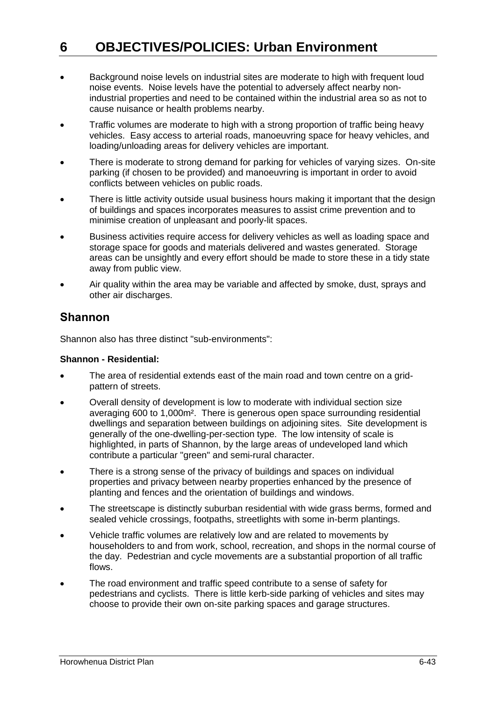- Background noise levels on industrial sites are moderate to high with frequent loud noise events. Noise levels have the potential to adversely affect nearby nonindustrial properties and need to be contained within the industrial area so as not to cause nuisance or health problems nearby.
- Traffic volumes are moderate to high with a strong proportion of traffic being heavy vehicles. Easy access to arterial roads, manoeuvring space for heavy vehicles, and loading/unloading areas for delivery vehicles are important.
- There is moderate to strong demand for parking for vehicles of varying sizes. On-site parking (if chosen to be provided) and manoeuvring is important in order to avoid conflicts between vehicles on public roads.
- There is little activity outside usual business hours making it important that the design of buildings and spaces incorporates measures to assist crime prevention and to minimise creation of unpleasant and poorly-lit spaces.
- Business activities require access for delivery vehicles as well as loading space and storage space for goods and materials delivered and wastes generated. Storage areas can be unsightly and every effort should be made to store these in a tidy state away from public view.
- Air quality within the area may be variable and affected by smoke, dust, sprays and other air discharges.

### **Shannon**

Shannon also has three distinct "sub-environments":

#### **Shannon - Residential:**

- The area of residential extends east of the main road and town centre on a gridpattern of streets.
- Overall density of development is low to moderate with individual section size averaging 600 to 1,000m². There is generous open space surrounding residential dwellings and separation between buildings on adjoining sites. Site development is generally of the one-dwelling-per-section type. The low intensity of scale is highlighted, in parts of Shannon, by the large areas of undeveloped land which contribute a particular "green" and semi-rural character.
- There is a strong sense of the privacy of buildings and spaces on individual properties and privacy between nearby properties enhanced by the presence of planting and fences and the orientation of buildings and windows.
- The streetscape is distinctly suburban residential with wide grass berms, formed and sealed vehicle crossings, footpaths, streetlights with some in-berm plantings.
- Vehicle traffic volumes are relatively low and are related to movements by householders to and from work, school, recreation, and shops in the normal course of the day. Pedestrian and cycle movements are a substantial proportion of all traffic flows.
- The road environment and traffic speed contribute to a sense of safety for pedestrians and cyclists. There is little kerb-side parking of vehicles and sites may choose to provide their own on-site parking spaces and garage structures.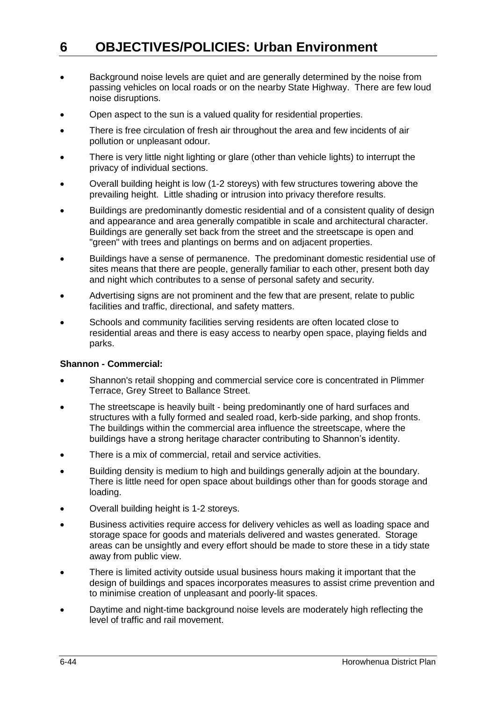- Background noise levels are quiet and are generally determined by the noise from passing vehicles on local roads or on the nearby State Highway. There are few loud noise disruptions.
- Open aspect to the sun is a valued quality for residential properties.
- There is free circulation of fresh air throughout the area and few incidents of air pollution or unpleasant odour.
- There is very little night lighting or glare (other than vehicle lights) to interrupt the privacy of individual sections.
- Overall building height is low (1-2 storeys) with few structures towering above the prevailing height. Little shading or intrusion into privacy therefore results.
- Buildings are predominantly domestic residential and of a consistent quality of design and appearance and area generally compatible in scale and architectural character. Buildings are generally set back from the street and the streetscape is open and "green" with trees and plantings on berms and on adjacent properties.
- Buildings have a sense of permanence. The predominant domestic residential use of sites means that there are people, generally familiar to each other, present both day and night which contributes to a sense of personal safety and security.
- Advertising signs are not prominent and the few that are present, relate to public facilities and traffic, directional, and safety matters.
- Schools and community facilities serving residents are often located close to residential areas and there is easy access to nearby open space, playing fields and parks.

#### **Shannon - Commercial:**

- Shannon's retail shopping and commercial service core is concentrated in Plimmer Terrace, Grey Street to Ballance Street.
- The streetscape is heavily built being predominantly one of hard surfaces and structures with a fully formed and sealed road, kerb-side parking, and shop fronts. The buildings within the commercial area influence the streetscape, where the buildings have a strong heritage character contributing to Shannon's identity.
- There is a mix of commercial, retail and service activities.
- Building density is medium to high and buildings generally adjoin at the boundary. There is little need for open space about buildings other than for goods storage and loading.
- Overall building height is 1-2 storeys.
- Business activities require access for delivery vehicles as well as loading space and storage space for goods and materials delivered and wastes generated. Storage areas can be unsightly and every effort should be made to store these in a tidy state away from public view.
- There is limited activity outside usual business hours making it important that the design of buildings and spaces incorporates measures to assist crime prevention and to minimise creation of unpleasant and poorly-lit spaces.
- Daytime and night-time background noise levels are moderately high reflecting the level of traffic and rail movement.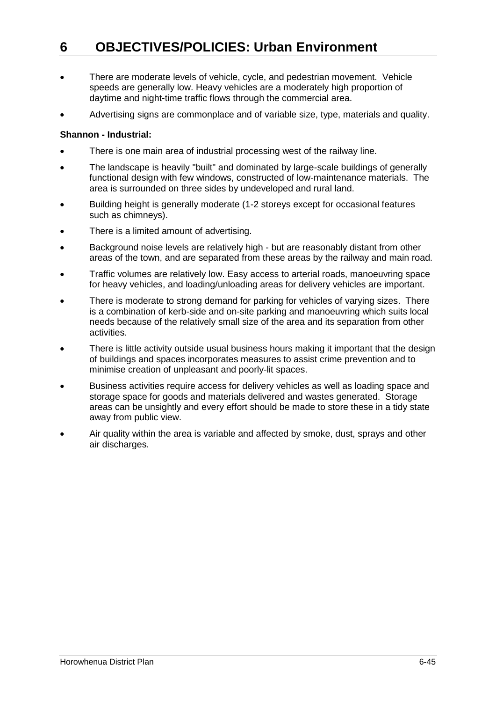- There are moderate levels of vehicle, cycle, and pedestrian movement. Vehicle speeds are generally low. Heavy vehicles are a moderately high proportion of daytime and night-time traffic flows through the commercial area.
- Advertising signs are commonplace and of variable size, type, materials and quality.

#### **Shannon - Industrial:**

- There is one main area of industrial processing west of the railway line.
- The landscape is heavily "built" and dominated by large-scale buildings of generally functional design with few windows, constructed of low-maintenance materials. The area is surrounded on three sides by undeveloped and rural land.
- Building height is generally moderate (1-2 storeys except for occasional features such as chimneys).
- There is a limited amount of advertising.
- Background noise levels are relatively high but are reasonably distant from other areas of the town, and are separated from these areas by the railway and main road.
- Traffic volumes are relatively low. Easy access to arterial roads, manoeuvring space for heavy vehicles, and loading/unloading areas for delivery vehicles are important.
- There is moderate to strong demand for parking for vehicles of varying sizes. There is a combination of kerb-side and on-site parking and manoeuvring which suits local needs because of the relatively small size of the area and its separation from other activities.
- There is little activity outside usual business hours making it important that the design of buildings and spaces incorporates measures to assist crime prevention and to minimise creation of unpleasant and poorly-lit spaces.
- Business activities require access for delivery vehicles as well as loading space and storage space for goods and materials delivered and wastes generated. Storage areas can be unsightly and every effort should be made to store these in a tidy state away from public view.
- Air quality within the area is variable and affected by smoke, dust, sprays and other air discharges.